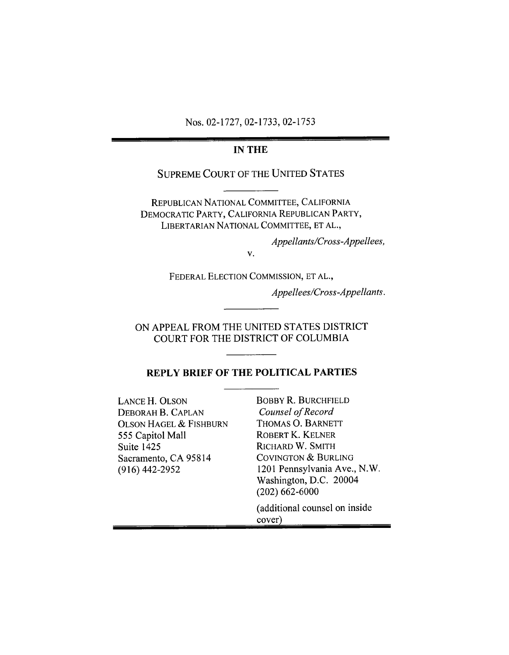Nos. 02-1727, 02-1733, 02-1753

#### **IN THE**

## **SUPREME COURT OF THE UNITED STATES**

REPUBLICAN NATIONAL COMMITTEE, CALIFORNIA DEMOCRATIC PARTY, CALIFORNIA REPUBLICAN PARTY, LIBERTARIAN NATIONAL COMMITTEE, ET AL.,

Appellants/Cross-Appellees,

V.

FEDERAL ELECTION COMMISSION, ET AL.,

Appellees/Cross-Appellants.

ON APPEAL FROM THE UNITED STATES DISTRICT COURT FOR THE DISTRICT OF COLUMBIA

## REPLY BRIEF OF THE POLITICAL PARTIES

| <b>LANCE H. OLSON</b><br>DEBORAH B. CAPLAN<br><b>OLSON HAGEL &amp; FISHBURN</b><br>555 Capitol Mall<br><b>Suite 1425</b><br>Sacramento, CA 95814<br>$(916)$ 442-2952 | <b>BOBBY R. BURCHFIELD</b><br>Counsel of Record<br>THOMAS O. BARNETT<br>ROBERT K. KELNER<br>RICHARD W. SMITH<br><b>COVINGTON &amp; BURLING</b><br>1201 Pennsylvania Ave., N.W. |
|----------------------------------------------------------------------------------------------------------------------------------------------------------------------|--------------------------------------------------------------------------------------------------------------------------------------------------------------------------------|
|                                                                                                                                                                      | Washington, D.C. 20004<br>$(202)$ 662-6000                                                                                                                                     |
|                                                                                                                                                                      | (additional counsel on inside)<br>cover)                                                                                                                                       |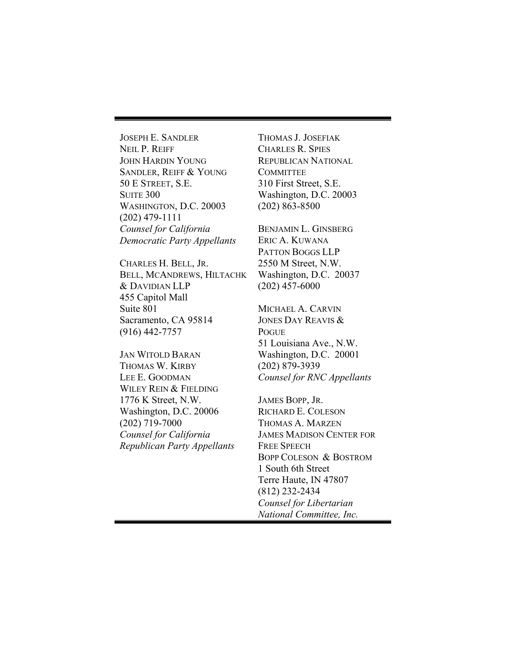JOSEPH E. SANDLER NEIL P. REIFF JOHN HARDIN YOUNG SANDLER, REIFF & YOUNG 50 E STREET, S.E. **SUITE 300** WASHINGTON, D.C. 20003 (202) 479-1111 *Counsel for California Democratic Party Appellants* 

CHARLES H. BELL, JR. BELL, MCANDREWS, HILTACHK & DAVIDIAN LLP 455 Capitol Mall Suite 801 Sacramento, CA 95814 (916) 442-7757

JAN WITOLD BARAN THOMAS W. KIRBY LEE E. GOODMAN WILEY REIN & FIELDING 1776 K Street, N.W. Washington, D.C. 20006 (202) 719-7000 *Counsel for California Republican Party Appellants*  THOMAS J. JOSEFIAK CHARLES R. SPIES REPUBLICAN NATIONAL **COMMITTEE** 310 First Street, S.E. Washington, D.C. 20003 (202) 863-8500

BENJAMIN L. GINSBERG ERIC A. KUWANA PATTON BOGGS LLP 2550 M Street, N.W. Washington, D.C. 20037 (202) 457-6000

MICHAEL A. CARVIN JONES DAY REAVIS & POGUE 51 Louisiana Ave., N.W. Washington, D.C. 20001 (202) 879-3939 *Counsel for RNC Appellants* 

JAMES BOPP, JR. RICHARD E. COLESON THOMAS A. MARZEN JAMES MADISON CENTER FOR FREE SPEECH BOPP COLESON & BOSTROM 1 South 6th Street Terre Haute, IN 47807 (812) 232-2434 *Counsel for Libertarian National Committee, Inc.*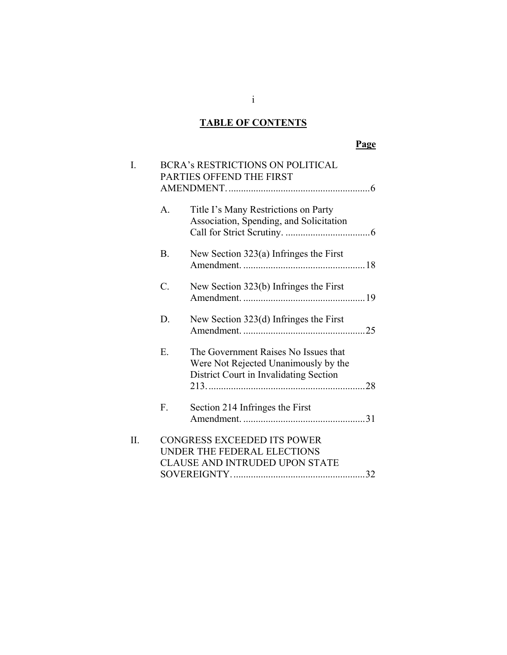# **TABLE OF CONTENTS**

| I.  |                 | <b>BCRA's RESTRICTIONS ON POLITICAL</b><br>PARTIES OFFEND THE FIRST                                                    |  |
|-----|-----------------|------------------------------------------------------------------------------------------------------------------------|--|
|     | $A_{\cdot}$     | Title I's Many Restrictions on Party<br>Association, Spending, and Solicitation                                        |  |
|     | <b>B.</b>       | New Section $323(a)$ Infringes the First                                                                               |  |
|     | $\mathcal{C}$ . | New Section 323(b) Infringes the First                                                                                 |  |
|     | D.              | New Section $323(d)$ Infringes the First                                                                               |  |
|     | Ε.              | The Government Raises No Issues that<br>Were Not Rejected Unanimously by the<br>District Court in Invalidating Section |  |
|     | $F_{\tau}$      | Section 214 Infringes the First                                                                                        |  |
| II. |                 | <b>CONGRESS EXCEEDED ITS POWER</b><br>UNDER THE FEDERAL ELECTIONS<br><b>CLAUSE AND INTRUDED UPON STATE</b>             |  |

 $i$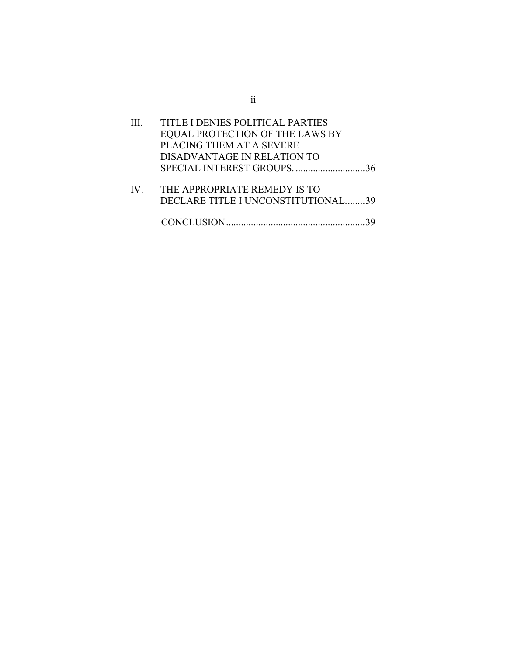|               | TITLE I DENIES POLITICAL PARTIES<br>EQUAL PROTECTION OF THE LAWS BY<br>PLACING THEM AT A SEVERE |  |
|---------------|-------------------------------------------------------------------------------------------------|--|
|               | DISADVANTAGE IN RELATION TO                                                                     |  |
| $\mathbf{IV}$ | THE APPROPRIATE REMEDY IS TO<br>DECLARE TITLE I UNCONSTITUTIONAL39                              |  |
|               |                                                                                                 |  |

ii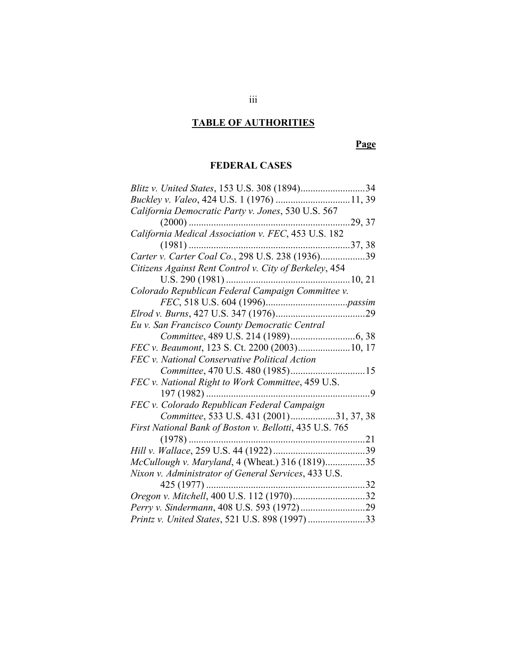# **TABLE OF AUTHORITIES**

# **Page**

# **FEDERAL CASES**

|                                                         | .34             |
|---------------------------------------------------------|-----------------|
| Buckley v. Valeo, 424 U.S. 1 (1976)                     | $\ldots$ 11, 39 |
| California Democratic Party v. Jones, 530 U.S. 567      |                 |
| $(2000)$                                                | .29, 37         |
| California Medical Association v. FEC, 453 U.S. 182     |                 |
| $(1981)$                                                |                 |
| Carter v. Carter Coal Co., 298 U.S. 238 (1936)39        |                 |
| Citizens Against Rent Control v. City of Berkeley, 454  |                 |
|                                                         |                 |
| Colorado Republican Federal Campaign Committee v.       |                 |
|                                                         |                 |
|                                                         |                 |
| Eu v. San Francisco County Democratic Central           |                 |
|                                                         |                 |
| FEC v. Beaumont, 123 S. Ct. 2200 (2003) 10, 17          |                 |
| FEC v. National Conservative Political Action           |                 |
| Committee, 470 U.S. 480 (1985)                          | . 15            |
| FEC v. National Right to Work Committee, 459 U.S.       |                 |
| $197(1982)$                                             | $\cdot$ 9       |
| FEC v. Colorado Republican Federal Campaign             |                 |
| Committee, 533 U.S. 431 (2001)31, 37, 38                |                 |
| First National Bank of Boston v. Bellotti, 435 U.S. 765 |                 |
| $(1978)$                                                | .21             |
|                                                         |                 |
| McCullough v. Maryland, 4 (Wheat.) 316 (1819)35         |                 |
| Nixon v. Administrator of General Services, 433 U.S.    |                 |
| $425(1977)$                                             |                 |
| Oregon v. Mitchell, 400 U.S. 112 (1970)32               |                 |
|                                                         |                 |
| Printz v. United States, 521 U.S. 898 (1997) 33         |                 |
|                                                         |                 |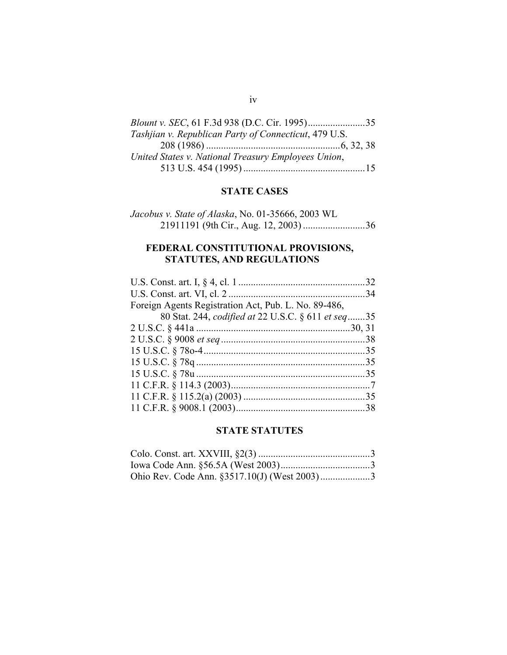| Tashiian v. Republican Party of Connecticut, 479 U.S. |  |
|-------------------------------------------------------|--|
|                                                       |  |
| United States v. National Treasury Employees Union,   |  |
|                                                       |  |
|                                                       |  |

#### **STATE CASES**

| Jacobus v. State of Alaska, No. 01-35666, 2003 WL |  |
|---------------------------------------------------|--|
|                                                   |  |

## **FEDERAL CONSTITUTIONAL PROVISIONS, STATUTES, AND REGULATIONS**

| Foreign Agents Registration Act, Pub. L. No. 89-486, |  |
|------------------------------------------------------|--|
| 80 Stat. 244, codified at 22 U.S.C. § 611 et seq35   |  |
|                                                      |  |
|                                                      |  |
|                                                      |  |
|                                                      |  |
|                                                      |  |
|                                                      |  |
|                                                      |  |
|                                                      |  |

## **STATE STATUTES**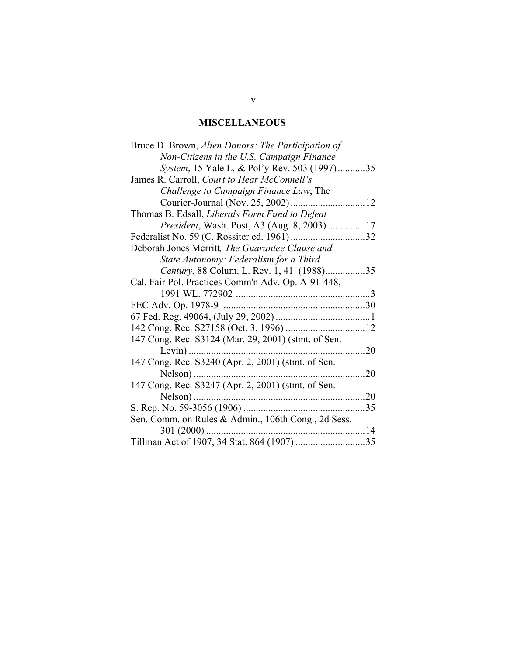# **MISCELLANEOUS**

| Bruce D. Brown, Alien Donors: The Participation of  |            |
|-----------------------------------------------------|------------|
| Non-Citizens in the U.S. Campaign Finance           |            |
| System, 15 Yale L. & Pol'y Rev. 503 (1997)35        |            |
| James R. Carroll, Court to Hear McConnell's         |            |
| Challenge to Campaign Finance Law, The              |            |
|                                                     |            |
| Thomas B. Edsall, Liberals Form Fund to Defeat      |            |
| <i>President</i> , Wash. Post, A3 (Aug. 8, 2003) 17 |            |
|                                                     |            |
| Deborah Jones Merritt, The Guarantee Clause and     |            |
| State Autonomy: Federalism for a Third              |            |
| Century, 88 Colum. L. Rev. 1, 41 (1988)35           |            |
| Cal. Fair Pol. Practices Comm'n Adv. Op. A-91-448,  |            |
|                                                     |            |
|                                                     |            |
|                                                     |            |
|                                                     |            |
| 147 Cong. Rec. S3124 (Mar. 29, 2001) (stmt. of Sen. |            |
| $Levin)$                                            | $\dots 20$ |
| 147 Cong. Rec. S3240 (Apr. 2, 2001) (stmt. of Sen.  |            |
| Nelson)                                             |            |
| 147 Cong. Rec. S3247 (Apr. 2, 2001) (stmt. of Sen.  |            |
|                                                     |            |
|                                                     |            |
| Sen. Comm. on Rules & Admin., 106th Cong., 2d Sess. |            |
|                                                     |            |
|                                                     |            |
|                                                     |            |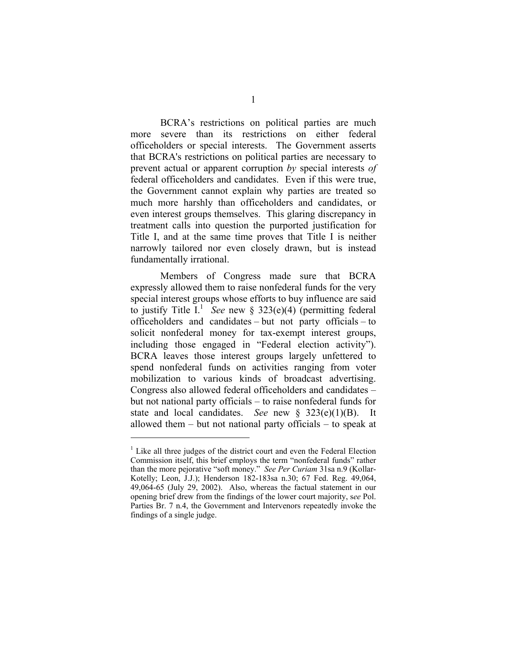BCRA's restrictions on political parties are much more severe than its restrictions on either federal officeholders or special interests. The Government asserts that BCRA's restrictions on political parties are necessary to prevent actual or apparent corruption *by* special interests *of*  federal officeholders and candidates. Even if this were true, the Government cannot explain why parties are treated so much more harshly than officeholders and candidates, or even interest groups themselves. This glaring discrepancy in treatment calls into question the purported justification for Title I, and at the same time proves that Title I is neither narrowly tailored nor even closely drawn, but is instead fundamentally irrational.

Members of Congress made sure that BCRA expressly allowed them to raise nonfederal funds for the very special interest groups whose efforts to buy influence are said to justify Title  $I<sup>1</sup>$  *See* new § 323(e)(4) (permitting federal officeholders and candidates – but not party officials – to solicit nonfederal money for tax-exempt interest groups, including those engaged in "Federal election activity"). BCRA leaves those interest groups largely unfettered to spend nonfederal funds on activities ranging from voter mobilization to various kinds of broadcast advertising. Congress also allowed federal officeholders and candidates – but not national party officials – to raise nonfederal funds for state and local candidates. *See* new § 323(e)(1)(B). It allowed them – but not national party officials – to speak at

<sup>&</sup>lt;sup>1</sup> Like all three judges of the district court and even the Federal Election Commission itself, this brief employs the term "nonfederal funds" rather than the more pejorative "soft money." *See Per Curiam* 31sa n.9 (Kollar-Kotelly; Leon, J.J.); Henderson 182-183sa n.30; 67 Fed. Reg. 49,064, 49,064-65 (July 29, 2002). Also, whereas the factual statement in our opening brief drew from the findings of the lower court majority, s*ee* Pol. Parties Br. 7 n.4, the Government and Intervenors repeatedly invoke the findings of a single judge.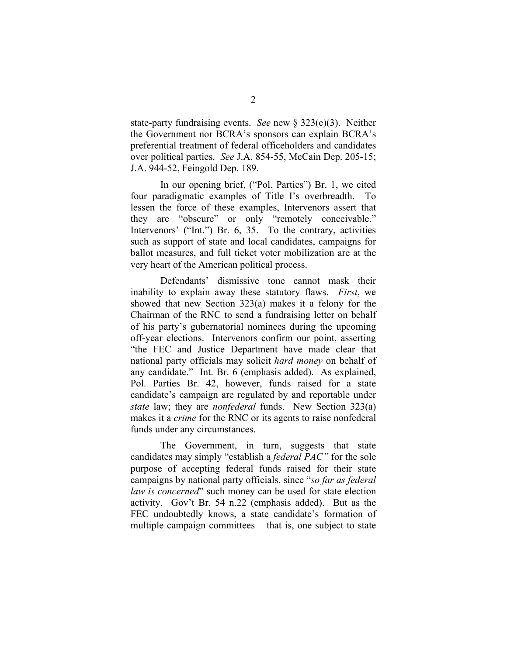state-party fundraising events. *See* new § 323(e)(3). Neither the Government nor BCRA's sponsors can explain BCRA's preferential treatment of federal officeholders and candidates over political parties. *See* J.A. 854-55, McCain Dep. 205-15; J.A. 944-52, Feingold Dep. 189.

In our opening brief, ("Pol. Parties") Br. 1, we cited four paradigmatic examples of Title I's overbreadth. To lessen the force of these examples, Intervenors assert that they are "obscure" or only "remotely conceivable." Intervenors' ("Int.") Br. 6, 35. To the contrary, activities such as support of state and local candidates, campaigns for ballot measures, and full ticket voter mobilization are at the very heart of the American political process.

Defendants' dismissive tone cannot mask their inability to explain away these statutory flaws. *First*, we showed that new Section 323(a) makes it a felony for the Chairman of the RNC to send a fundraising letter on behalf of his party's gubernatorial nominees during the upcoming off-year elections. Intervenors confirm our point, asserting "the FEC and Justice Department have made clear that national party officials may solicit *hard money* on behalf of any candidate." Int. Br. 6 (emphasis added). As explained, Pol. Parties Br. 42, however, funds raised for a state candidate's campaign are regulated by and reportable under *state* law; they are *nonfederal* funds. New Section 323(a) makes it a *crime* for the RNC or its agents to raise nonfederal funds under any circumstances.

The Government, in turn, suggests that state candidates may simply "establish a *federal PAC"* for the sole purpose of accepting federal funds raised for their state campaigns by national party officials, since "*so far as federal law is concerned*" such money can be used for state election activity. Gov't Br. 54 n.22 (emphasis added). But as the FEC undoubtedly knows, a state candidate's formation of multiple campaign committees – that is, one subject to state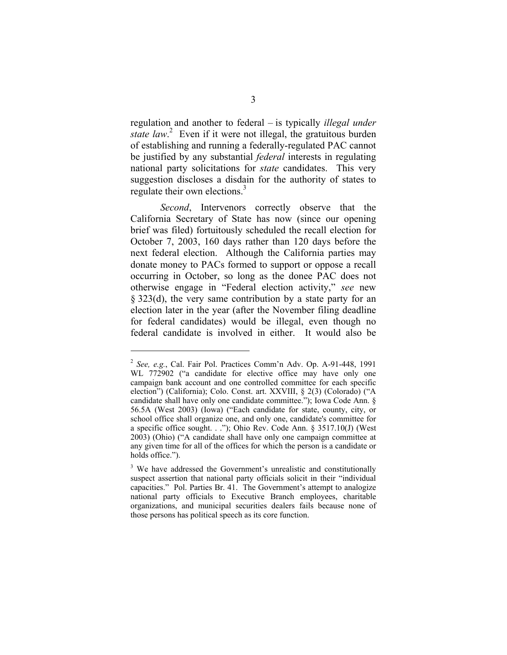regulation and another to federal – is typically *illegal under state law*. 2 Even if it were not illegal, the gratuitous burden of establishing and running a federally-regulated PAC cannot be justified by any substantial *federal* interests in regulating national party solicitations for *state* candidates. This very suggestion discloses a disdain for the authority of states to regulate their own elections.<sup>3</sup>

*Second*, Intervenors correctly observe that the California Secretary of State has now (since our opening brief was filed) fortuitously scheduled the recall election for October 7, 2003, 160 days rather than 120 days before the next federal election. Although the California parties may donate money to PACs formed to support or oppose a recall occurring in October, so long as the donee PAC does not otherwise engage in "Federal election activity," *see* new § 323(d), the very same contribution by a state party for an election later in the year (after the November filing deadline for federal candidates) would be illegal, even though no federal candidate is involved in either. It would also be

<sup>2</sup>*See, e.g.*, Cal. Fair Pol. Practices Comm'n Adv. Op. A-91-448, 1991 WL 772902 ("a candidate for elective office may have only one campaign bank account and one controlled committee for each specific election") (California); Colo. Const. art. XXVIII, § 2(3) (Colorado) ("A candidate shall have only one candidate committee."); Iowa Code Ann. § 56.5A (West 2003) (Iowa) ("Each candidate for state, county, city, or school office shall organize one, and only one, candidate's committee for a specific office sought. . ."); Ohio Rev. Code Ann. § 3517.10(J) (West 2003) (Ohio) ("A candidate shall have only one campaign committee at any given time for all of the offices for which the person is a candidate or holds office.").

<sup>&</sup>lt;sup>3</sup> We have addressed the Government's unrealistic and constitutionally suspect assertion that national party officials solicit in their "individual capacities." Pol. Parties Br. 41. The Government's attempt to analogize national party officials to Executive Branch employees, charitable organizations, and municipal securities dealers fails because none of those persons has political speech as its core function.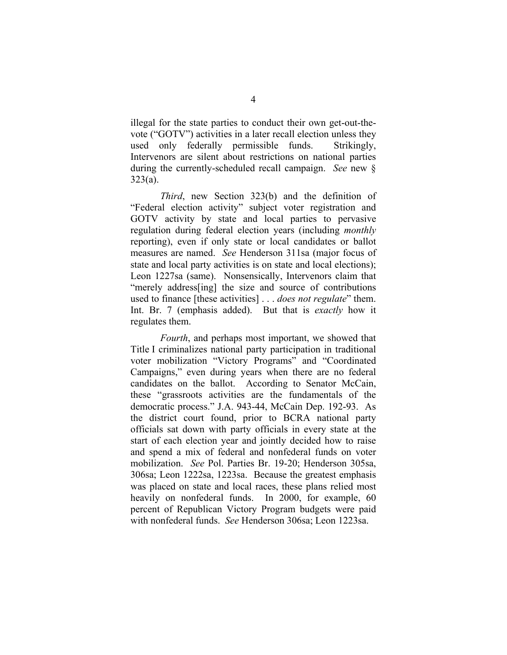illegal for the state parties to conduct their own get-out-thevote ("GOTV") activities in a later recall election unless they used only federally permissible funds. Strikingly, Intervenors are silent about restrictions on national parties during the currently-scheduled recall campaign. *See* new § 323(a).

*Third*, new Section 323(b) and the definition of "Federal election activity" subject voter registration and GOTV activity by state and local parties to pervasive regulation during federal election years (including *monthly*  reporting), even if only state or local candidates or ballot measures are named. *See* Henderson 311sa (major focus of state and local party activities is on state and local elections); Leon 1227sa (same). Nonsensically, Intervenors claim that "merely address[ing] the size and source of contributions used to finance [these activities] . . . *does not regulate*" them. Int. Br. 7 (emphasis added). But that is *exactly* how it regulates them.

*Fourth*, and perhaps most important, we showed that Title I criminalizes national party participation in traditional voter mobilization "Victory Programs" and "Coordinated Campaigns," even during years when there are no federal candidates on the ballot. According to Senator McCain, these "grassroots activities are the fundamentals of the democratic process." J.A. 943-44, McCain Dep. 192-93. As the district court found, prior to BCRA national party officials sat down with party officials in every state at the start of each election year and jointly decided how to raise and spend a mix of federal and nonfederal funds on voter mobilization. *See* Pol. Parties Br. 19-20; Henderson 305sa, 306sa; Leon 1222sa, 1223sa. Because the greatest emphasis was placed on state and local races, these plans relied most heavily on nonfederal funds. In 2000, for example, 60 percent of Republican Victory Program budgets were paid with nonfederal funds. *See* Henderson 306sa; Leon 1223sa.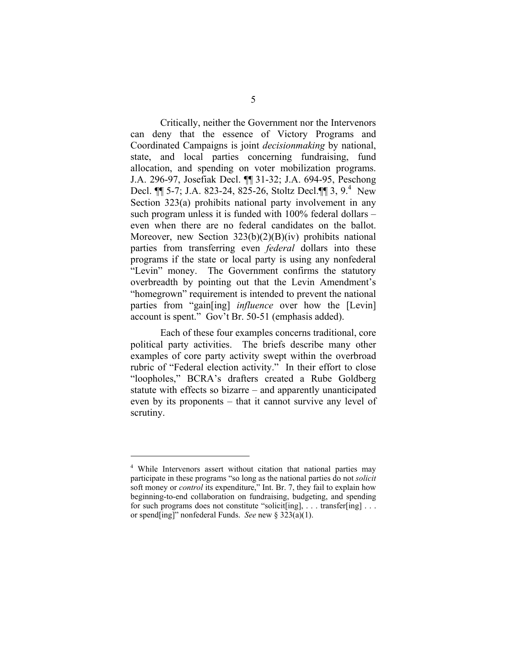Critically, neither the Government nor the Intervenors can deny that the essence of Victory Programs and Coordinated Campaigns is joint *decisionmaking* by national, state, and local parties concerning fundraising, fund allocation, and spending on voter mobilization programs. J.A. 296-97, Josefiak Decl. ¶¶ 31-32; J.A. 694-95, Peschong Decl. ¶¶ 5-7; J.A. 823-24, 825-26, Stoltz Decl.¶¶ 3, 9.4 New Section 323(a) prohibits national party involvement in any such program unless it is funded with 100% federal dollars – even when there are no federal candidates on the ballot. Moreover, new Section 323(b)(2)(B)(iv) prohibits national parties from transferring even *federal* dollars into these programs if the state or local party is using any nonfederal "Levin" money. The Government confirms the statutory overbreadth by pointing out that the Levin Amendment's "homegrown" requirement is intended to prevent the national parties from "gain[ing] *influence* over how the [Levin] account is spent." Gov't Br. 50-51 (emphasis added).

Each of these four examples concerns traditional, core political party activities. The briefs describe many other examples of core party activity swept within the overbroad rubric of "Federal election activity." In their effort to close "loopholes," BCRA's drafters created a Rube Goldberg statute with effects so bizarre – and apparently unanticipated even by its proponents – that it cannot survive any level of scrutiny.

<sup>4</sup> While Intervenors assert without citation that national parties may participate in these programs "so long as the national parties do not *solicit*  soft money or *control* its expenditure," Int. Br. 7, they fail to explain how beginning-to-end collaboration on fundraising, budgeting, and spending for such programs does not constitute "solicit[ing], . . . transfer[ing] . . . or spend[ing]" nonfederal Funds. *See* new § 323(a)(1).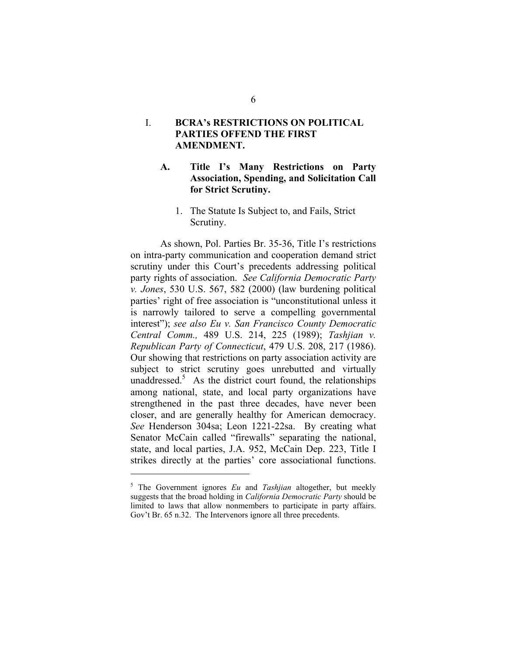#### I. **BCRA's RESTRICTIONS ON POLITICAL PARTIES OFFEND THE FIRST AMENDMENT.**

#### **A. Title I's Many Restrictions on Party Association, Spending, and Solicitation Call for Strict Scrutiny.**

#### 1. The Statute Is Subject to, and Fails, Strict Scrutiny.

As shown, Pol. Parties Br. 35-36, Title I's restrictions on intra-party communication and cooperation demand strict scrutiny under this Court's precedents addressing political party rights of association. *See California Democratic Party v. Jones*, 530 U.S. 567, 582 (2000) (law burdening political parties' right of free association is "unconstitutional unless it is narrowly tailored to serve a compelling governmental interest"); *see also Eu v. San Francisco County Democratic Central Comm.,* 489 U.S. 214, 225 (1989); *Tashjian v. Republican Party of Connecticut*, 479 U.S. 208, 217 (1986). Our showing that restrictions on party association activity are subject to strict scrutiny goes unrebutted and virtually unaddressed. $5$  As the district court found, the relationships among national, state, and local party organizations have strengthened in the past three decades, have never been closer, and are generally healthy for American democracy. *See* Henderson 304sa; Leon 1221-22sa. By creating what Senator McCain called "firewalls" separating the national, state, and local parties, J.A. 952, McCain Dep. 223, Title I strikes directly at the parties' core associational functions.

6

<sup>5</sup> The Government ignores *Eu* and *Tashjian* altogether, but meekly suggests that the broad holding in *California Democratic Party* should be limited to laws that allow nonmembers to participate in party affairs. Gov't Br. 65 n.32. The Intervenors ignore all three precedents.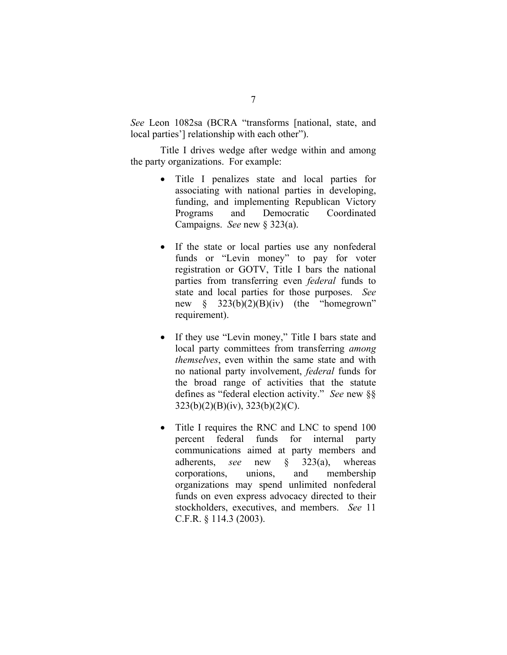*See* Leon 1082sa (BCRA "transforms [national, state, and local parties'] relationship with each other").

Title I drives wedge after wedge within and among the party organizations. For example:

- Title I penalizes state and local parties for associating with national parties in developing, funding, and implementing Republican Victory Programs and Democratic Coordinated Campaigns. *See* new § 323(a).
- If the state or local parties use any nonfederal funds or "Levin money" to pay for voter registration or GOTV, Title I bars the national parties from transferring even *federal* funds to state and local parties for those purposes. *See*  new  $\S$  323(b)(2)(B)(iv) (the "homegrown" requirement).
- If they use "Levin money," Title I bars state and local party committees from transferring *among themselves*, even within the same state and with no national party involvement, *federal* funds for the broad range of activities that the statute defines as "federal election activity." *See* new §§ 323(b)(2)(B)(iv), 323(b)(2)(C).
- Title I requires the RNC and LNC to spend 100 percent federal funds for internal party communications aimed at party members and adherents, *see* new § 323(a), whereas corporations, unions, and membership organizations may spend unlimited nonfederal funds on even express advocacy directed to their stockholders, executives, and members. *See* 11 C.F.R. § 114.3 (2003).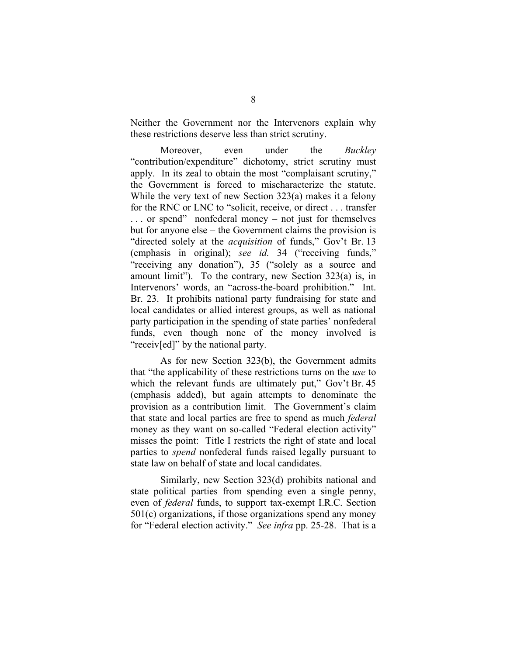Neither the Government nor the Intervenors explain why these restrictions deserve less than strict scrutiny.

Moreover, even under the *Buckley*  "contribution/expenditure" dichotomy, strict scrutiny must apply. In its zeal to obtain the most "complaisant scrutiny," the Government is forced to mischaracterize the statute. While the very text of new Section 323(a) makes it a felony for the RNC or LNC to "solicit, receive, or direct . . . transfer . . . or spend" nonfederal money – not just for themselves but for anyone else – the Government claims the provision is "directed solely at the *acquisition* of funds," Gov't Br. 13 (emphasis in original); *see id.* 34 ("receiving funds," "receiving any donation"), 35 ("solely as a source and amount limit"). To the contrary, new Section 323(a) is, in Intervenors' words, an "across-the-board prohibition." Int. Br. 23. It prohibits national party fundraising for state and local candidates or allied interest groups, as well as national party participation in the spending of state parties' nonfederal funds, even though none of the money involved is "receiv[ed]" by the national party.

As for new Section 323(b), the Government admits that "the applicability of these restrictions turns on the *use* to which the relevant funds are ultimately put," Gov't Br. 45 (emphasis added), but again attempts to denominate the provision as a contribution limit. The Government's claim that state and local parties are free to spend as much *federal*  money as they want on so-called "Federal election activity" misses the point: Title I restricts the right of state and local parties to *spend* nonfederal funds raised legally pursuant to state law on behalf of state and local candidates.

Similarly, new Section 323(d) prohibits national and state political parties from spending even a single penny, even of *federal* funds, to support tax-exempt I.R.C. Section 501(c) organizations, if those organizations spend any money for "Federal election activity." *See infra* pp. 25-28. That is a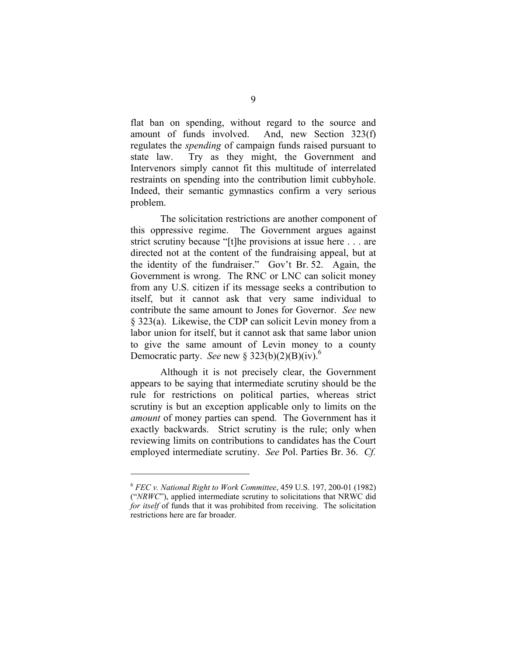flat ban on spending, without regard to the source and amount of funds involved. And, new Section 323(f) regulates the *spending* of campaign funds raised pursuant to state law. Try as they might, the Government and Intervenors simply cannot fit this multitude of interrelated restraints on spending into the contribution limit cubbyhole. Indeed, their semantic gymnastics confirm a very serious problem.

The solicitation restrictions are another component of this oppressive regime. The Government argues against strict scrutiny because "[t]he provisions at issue here . . . are directed not at the content of the fundraising appeal, but at the identity of the fundraiser." Gov't Br. 52. Again, the Government is wrong. The RNC or LNC can solicit money from any U.S. citizen if its message seeks a contribution to itself, but it cannot ask that very same individual to contribute the same amount to Jones for Governor. *See* new § 323(a). Likewise, the CDP can solicit Levin money from a labor union for itself, but it cannot ask that same labor union to give the same amount of Levin money to a county Democratic party. *See* new  $\frac{\delta 323(b)(2)(B)(iv)}{6}$ .

Although it is not precisely clear, the Government appears to be saying that intermediate scrutiny should be the rule for restrictions on political parties, whereas strict scrutiny is but an exception applicable only to limits on the *amount* of money parties can spend. The Government has it exactly backwards. Strict scrutiny is the rule; only when reviewing limits on contributions to candidates has the Court employed intermediate scrutiny. *See* Pol. Parties Br. 36. *Cf.* 

<sup>6</sup>*FEC v. National Right to Work Committee*, 459 U.S. 197, 200-01 (1982) ("*NRWC*"), applied intermediate scrutiny to solicitations that NRWC did *for itself* of funds that it was prohibited from receiving. The solicitation restrictions here are far broader.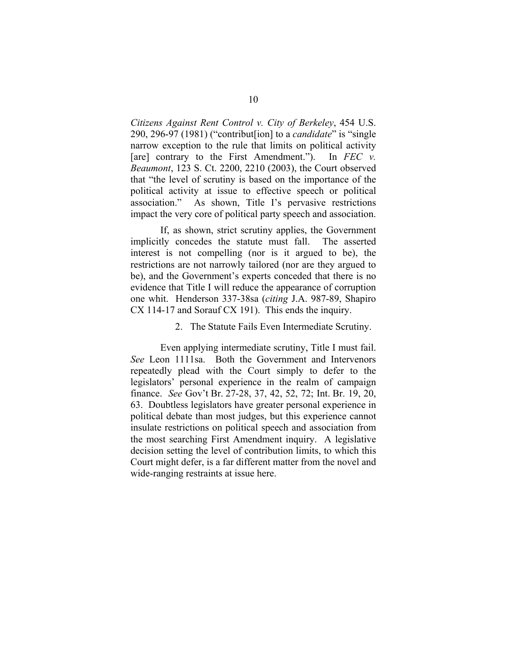*Citizens Against Rent Control v. City of Berkeley*, 454 U.S. 290, 296-97 (1981) ("contribut[ion] to a *candidate*" is "single narrow exception to the rule that limits on political activity [are] contrary to the First Amendment."). In *FEC v. Beaumont*, 123 S. Ct. 2200, 2210 (2003), the Court observed that "the level of scrutiny is based on the importance of the political activity at issue to effective speech or political association." As shown, Title I's pervasive restrictions impact the very core of political party speech and association.

If, as shown, strict scrutiny applies, the Government implicitly concedes the statute must fall. The asserted interest is not compelling (nor is it argued to be), the restrictions are not narrowly tailored (nor are they argued to be), and the Government's experts conceded that there is no evidence that Title I will reduce the appearance of corruption one whit. Henderson 337-38sa (*citing* J.A. 987-89, Shapiro CX 114-17 and Sorauf CX 191). This ends the inquiry.

#### 2. The Statute Fails Even Intermediate Scrutiny.

Even applying intermediate scrutiny, Title I must fail. *See* Leon 1111sa. Both the Government and Intervenors repeatedly plead with the Court simply to defer to the legislators' personal experience in the realm of campaign finance. *See* Gov't Br. 27-28, 37, 42, 52, 72; Int. Br. 19, 20, 63. Doubtless legislators have greater personal experience in political debate than most judges, but this experience cannot insulate restrictions on political speech and association from the most searching First Amendment inquiry. A legislative decision setting the level of contribution limits, to which this Court might defer, is a far different matter from the novel and wide-ranging restraints at issue here.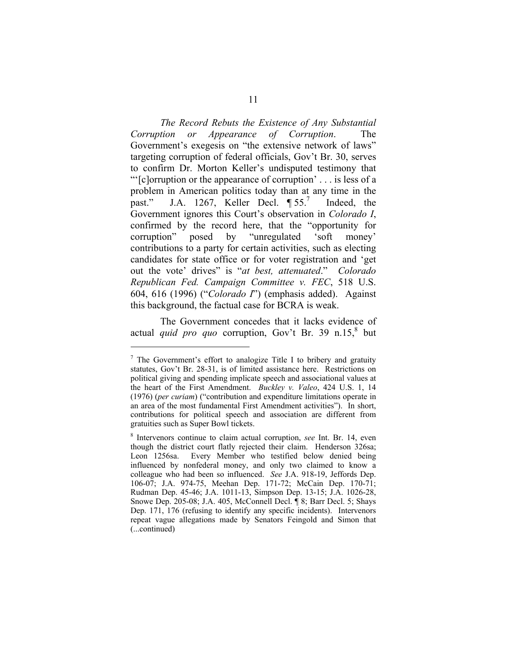*The Record Rebuts the Existence of Any Substantial Corruption or Appearance of Corruption.* Government's exegesis on "the extensive network of laws" targeting corruption of federal officials, Gov't Br. 30, serves to confirm Dr. Morton Keller's undisputed testimony that "'[c]orruption or the appearance of corruption' . . . is less of a problem in American politics today than at any time in the past." J.A. 1267, Keller Decl.  $\P 55$ .<sup>7</sup> Indeed, the Government ignores this Court's observation in *Colorado I*, confirmed by the record here, that the "opportunity for corruption" posed by "unregulated 'soft money' contributions to a party for certain activities, such as electing candidates for state office or for voter registration and 'get out the vote' drives" is "*at best, attenuated*." *Colorado Republican Fed. Campaign Committee v. FEC*, 518 U.S. 604, 616 (1996) ("*Colorado I*") (emphasis added). Against this background, the factual case for BCRA is weak.

The Government concedes that it lacks evidence of actual *quid pro quo* corruption, Gov't Br. 39 n.15,<sup>8</sup> but

 $7$  The Government's effort to analogize Title I to bribery and gratuity statutes, Gov't Br. 28-31, is of limited assistance here. Restrictions on political giving and spending implicate speech and associational values at the heart of the First Amendment. *Buckley v. Valeo*, 424 U.S. 1, 14 (1976) (*per curiam*) ("contribution and expenditure limitations operate in an area of the most fundamental First Amendment activities"). In short, contributions for political speech and association are different from gratuities such as Super Bowl tickets.

<sup>8</sup> Intervenors continue to claim actual corruption, *see* Int. Br. 14, even though the district court flatly rejected their claim. Henderson 326sa; Leon 1256sa. Every Member who testified below denied being influenced by nonfederal money, and only two claimed to know a colleague who had been so influenced. *See* J.A. 918-19, Jeffords Dep. 106-07; J.A. 974-75, Meehan Dep. 171-72; McCain Dep. 170-71; Rudman Dep. 45-46; J.A. 1011-13, Simpson Dep. 13-15; J.A. 1026-28, Snowe Dep. 205-08; J.A. 405, McConnell Decl.  $\hat{\mathbb{I}}$  8; Barr Decl. 5; Shays Dep. 171, 176 (refusing to identify any specific incidents). Intervenors repeat vague allegations made by Senators Feingold and Simon that (...continued)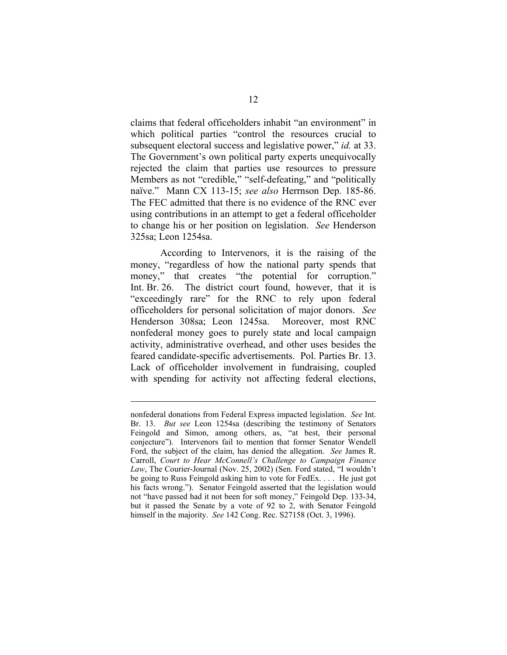claims that federal officeholders inhabit "an environment" in which political parties "control the resources crucial to subsequent electoral success and legislative power," *id.* at 33. The Government's own political party experts unequivocally rejected the claim that parties use resources to pressure Members as not "credible," "self-defeating," and "politically naïve." Mann CX 113-15; *see also* Herrnson Dep. 185-86. The FEC admitted that there is no evidence of the RNC ever using contributions in an attempt to get a federal officeholder to change his or her position on legislation. *See* Henderson 325sa; Leon 1254sa.

According to Intervenors, it is the raising of the money, "regardless of how the national party spends that money," that creates "the potential for corruption." Int. Br. 26. The district court found, however, that it is "exceedingly rare" for the RNC to rely upon federal officeholders for personal solicitation of major donors. *See*  Henderson 308sa; Leon 1245sa. Moreover, most RNC nonfederal money goes to purely state and local campaign activity, administrative overhead, and other uses besides the feared candidate-specific advertisements. Pol. Parties Br. 13. Lack of officeholder involvement in fundraising, coupled with spending for activity not affecting federal elections,

nonfederal donations from Federal Express impacted legislation. *See* Int. Br. 13. *But see* Leon 1254sa (describing the testimony of Senators Feingold and Simon, among others, as, "at best, their personal conjecture"). Intervenors fail to mention that former Senator Wendell Ford, the subject of the claim, has denied the allegation. *See* James R. Carroll, *Court to Hear McConnell's Challenge to Campaign Finance Law*, The Courier-Journal (Nov. 25, 2002) (Sen. Ford stated, "I wouldn't be going to Russ Feingold asking him to vote for FedEx. . . . He just got his facts wrong."). Senator Feingold asserted that the legislation would not "have passed had it not been for soft money," Feingold Dep. 133-34, but it passed the Senate by a vote of 92 to 2, with Senator Feingold himself in the majority. *See* 142 Cong. Rec. S27158 (Oct. 3, 1996).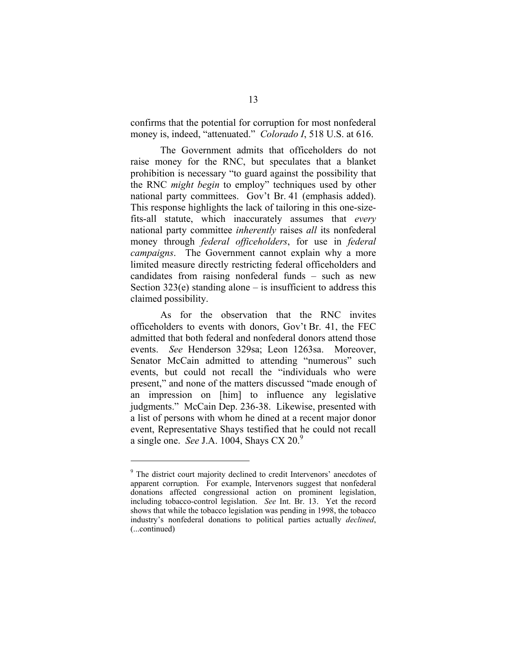confirms that the potential for corruption for most nonfederal money is, indeed, "attenuated." *Colorado I*, 518 U.S. at 616.

The Government admits that officeholders do not raise money for the RNC, but speculates that a blanket prohibition is necessary "to guard against the possibility that the RNC *might begin* to employ" techniques used by other national party committees. Gov't Br. 41 (emphasis added). This response highlights the lack of tailoring in this one-sizefits-all statute, which inaccurately assumes that *every*  national party committee *inherently* raises *all* its nonfederal money through *federal officeholders*, for use in *federal campaigns*. The Government cannot explain why a more limited measure directly restricting federal officeholders and candidates from raising nonfederal funds – such as new Section  $323(e)$  standing alone – is insufficient to address this claimed possibility.

As for the observation that the RNC invites officeholders to events with donors, Gov't Br. 41, the FEC admitted that both federal and nonfederal donors attend those events. *See* Henderson 329sa; Leon 1263sa. Moreover, Senator McCain admitted to attending "numerous" such events, but could not recall the "individuals who were present," and none of the matters discussed "made enough of an impression on [him] to influence any legislative judgments." McCain Dep. 236-38. Likewise, presented with a list of persons with whom he dined at a recent major donor event, Representative Shays testified that he could not recall a single one. *See* J.A. 1004, Shays CX 20.9

<sup>&</sup>lt;sup>9</sup> The district court majority declined to credit Intervenors' anecdotes of apparent corruption. For example, Intervenors suggest that nonfederal donations affected congressional action on prominent legislation, including tobacco-control legislation. *See* Int. Br. 13. Yet the record shows that while the tobacco legislation was pending in 1998, the tobacco industry's nonfederal donations to political parties actually *declined*, (...continued)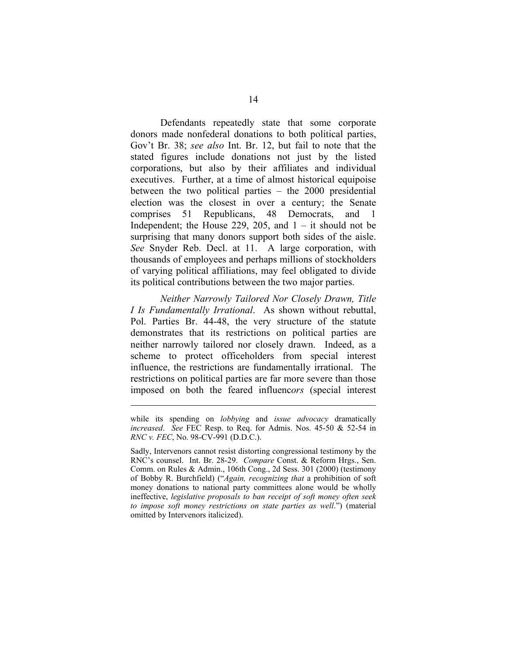Defendants repeatedly state that some corporate donors made nonfederal donations to both political parties, Gov't Br. 38; *see also* Int. Br. 12, but fail to note that the stated figures include donations not just by the listed corporations, but also by their affiliates and individual executives. Further, at a time of almost historical equipoise between the two political parties – the 2000 presidential election was the closest in over a century; the Senate comprises 51 Republicans, 48 Democrats, Independent; the House 229, 205, and  $1 - it$  should not be surprising that many donors support both sides of the aisle. *See* Snyder Reb. Decl. at 11. A large corporation, with thousands of employees and perhaps millions of stockholders of varying political affiliations, may feel obligated to divide its political contributions between the two major parties. and 1

*Neither Narrowly Tailored Nor Closely Drawn, Title I Is Fundamentally Irrational*. As shown without rebuttal, Pol. Parties Br. 44-48, the very structure of the statute demonstrates that its restrictions on political parties are neither narrowly tailored nor closely drawn. Indeed, as a scheme to protect officeholders from special interest influence, the restrictions are fundamentally irrational. The restrictions on political parties are far more severe than those imposed on both the feared influenc*ors* (special interest

while its spending on *lobbying* and *issue advocacy* dramatically *increased*. *See* FEC Resp. to Req. for Admis. Nos. 45-50 & 52-54 in *RNC v. FEC*, No. 98-CV-991 (D.D.C.).

Sadly, Intervenors cannot resist distorting congressional testimony by the RNC's counsel. Int. Br. 28-29. *Compare* Const. & Reform Hrgs., Sen. Comm. on Rules & Admin., 106th Cong., 2d Sess. 301 (2000) (testimony of Bobby R. Burchfield) ("*Again, recognizing that* a prohibition of soft money donations to national party committees alone would be wholly ineffective, *legislative proposals to ban receipt of soft money often seek to impose soft money restrictions on state parties as well*.") (material omitted by Intervenors italicized).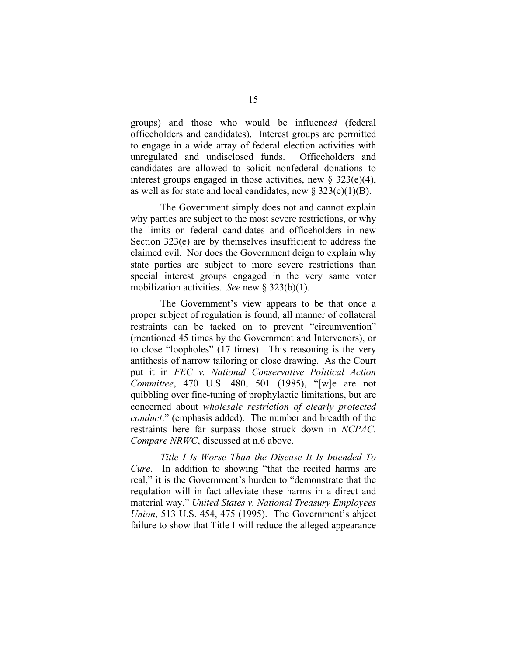groups) and those who would be influenc*ed* (federal officeholders and candidates). Interest groups are permitted to engage in a wide array of federal election activities with unregulated and undisclosed funds. Officeholders and candidates are allowed to solicit nonfederal donations to interest groups engaged in those activities, new  $\S$  323(e)(4), as well as for state and local candidates, new  $\S 323(e)(1)(B)$ .

The Government simply does not and cannot explain why parties are subject to the most severe restrictions, or why the limits on federal candidates and officeholders in new Section 323(e) are by themselves insufficient to address the claimed evil. Nor does the Government deign to explain why state parties are subject to more severe restrictions than special interest groups engaged in the very same voter mobilization activities. *See* new § 323(b)(1).

The Government's view appears to be that once a proper subject of regulation is found, all manner of collateral restraints can be tacked on to prevent "circumvention" (mentioned 45 times by the Government and Intervenors), or to close "loopholes" (17 times). This reasoning is the very antithesis of narrow tailoring or close drawing. As the Court put it in *FEC v. National Conservative Political Action Committee*, 470 U.S. 480, 501 (1985), "[w]e are not quibbling over fine-tuning of prophylactic limitations, but are concerned about *wholesale restriction of clearly protected conduct*." (emphasis added). The number and breadth of the restraints here far surpass those struck down in *NCPAC*. *Compare NRWC*, discussed at n.6 above.

*Title I Is Worse Than the Disease It Is Intended To Cure*. In addition to showing "that the recited harms are real," it is the Government's burden to "demonstrate that the regulation will in fact alleviate these harms in a direct and material way." *United States v. National Treasury Employees Union*, 513 U.S. 454, 475 (1995). The Government's abject failure to show that Title I will reduce the alleged appearance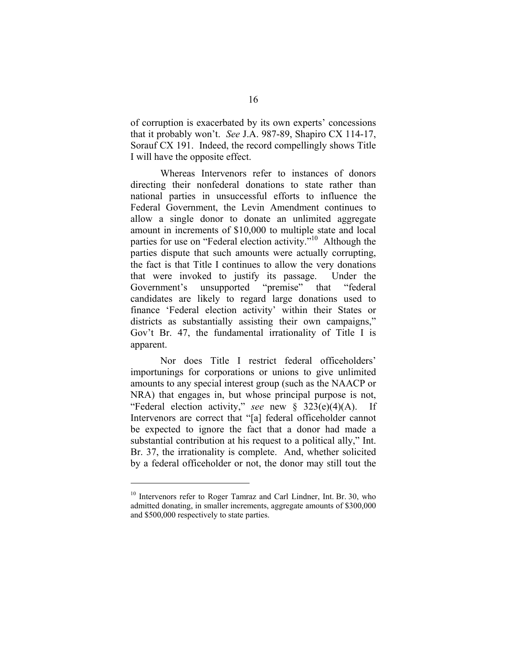of corruption is exacerbated by its own experts' concessions that it probably won't. *See* J.A. 987-89, Shapiro CX 114-17, Sorauf CX 191. Indeed, the record compellingly shows Title I will have the opposite effect.

Whereas Intervenors refer to instances of donors directing their nonfederal donations to state rather than national parties in unsuccessful efforts to influence the Federal Government, the Levin Amendment continues to allow a single donor to donate an unlimited aggregate amount in increments of \$10,000 to multiple state and local parties for use on "Federal election activity."<sup>10</sup> Although the parties dispute that such amounts were actually corrupting, the fact is that Title I continues to allow the very donations that were invoked to justify its passage. Under the Government's unsupported "premise" that "federal candidates are likely to regard large donations used to finance 'Federal election activity' within their States or districts as substantially assisting their own campaigns," Gov't Br. 47, the fundamental irrationality of Title I is apparent.

Nor does Title I restrict federal officeholders' importunings for corporations or unions to give unlimited amounts to any special interest group (such as the NAACP or NRA) that engages in, but whose principal purpose is not, "Federal election activity," *see* new § 323(e)(4)(A). If Intervenors are correct that "[a] federal officeholder cannot be expected to ignore the fact that a donor had made a substantial contribution at his request to a political ally," Int. Br. 37, the irrationality is complete. And, whether solicited by a federal officeholder or not, the donor may still tout the

<sup>&</sup>lt;sup>10</sup> Intervenors refer to Roger Tamraz and Carl Lindner, Int. Br. 30, who admitted donating, in smaller increments, aggregate amounts of \$300,000 and \$500,000 respectively to state parties.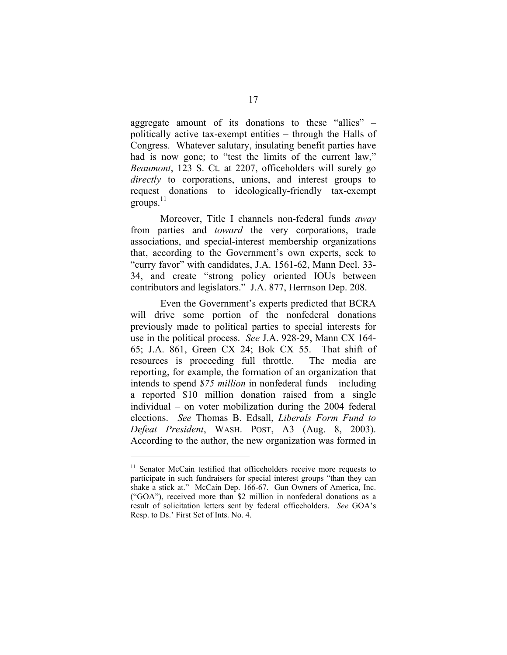aggregate amount of its donations to these "allies" – politically active tax-exempt entities – through the Halls of Congress. Whatever salutary, insulating benefit parties have had is now gone; to "test the limits of the current law," *Beaumont*, 123 S. Ct. at 2207, officeholders will surely go *directly* to corporations, unions, and interest groups to request donations to ideologically-friendly tax-exempt  $groups.<sup>11</sup>$ 

Moreover, Title I channels non-federal funds *away*  from parties and *toward* the very corporations, trade associations, and special-interest membership organizations that, according to the Government's own experts, seek to "curry favor" with candidates, J.A. 1561-62, Mann Decl. 33- 34, and create "strong policy oriented IOUs between contributors and legislators." J.A. 877, Herrnson Dep. 208.

Even the Government's experts predicted that BCRA will drive some portion of the nonfederal donations previously made to political parties to special interests for use in the political process. *See* J.A. 928-29, Mann CX 164- 65; J.A. 861, Green CX 24; Bok CX 55. That shift of resources is proceeding full throttle. The media are reporting, for example, the formation of an organization that intends to spend *\$75 million* in nonfederal funds – including a reported \$10 million donation raised from a single individual – on voter mobilization during the 2004 federal elections. *See* Thomas B. Edsall, *Liberals Form Fund to Defeat President*, WASH. POST, A3 (Aug. 8, 2003). According to the author, the new organization was formed in

<sup>&</sup>lt;sup>11</sup> Senator McCain testified that officeholders receive more requests to participate in such fundraisers for special interest groups "than they can shake a stick at." McCain Dep. 166-67. Gun Owners of America, Inc. ("GOA"), received more than \$2 million in nonfederal donations as a result of solicitation letters sent by federal officeholders. *See* GOA's Resp. to Ds.' First Set of Ints. No. 4.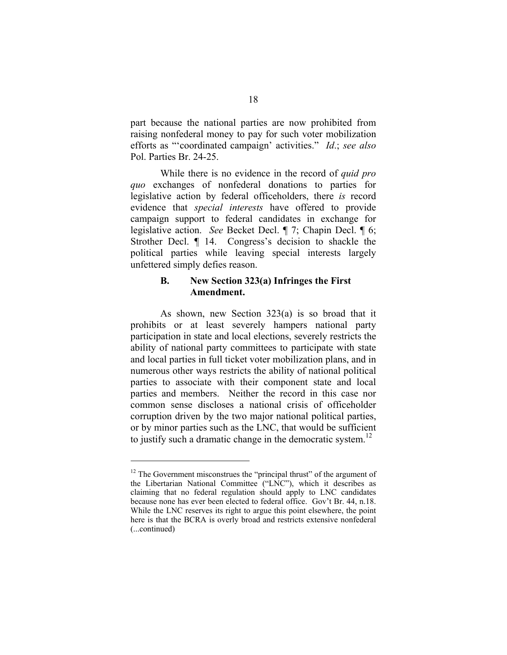part because the national parties are now prohibited from raising nonfederal money to pay for such voter mobilization efforts as "'coordinated campaign' activities." *Id*.; *see also*  Pol. Parties Br. 24-25.

While there is no evidence in the record of *quid pro quo* exchanges of nonfederal donations to parties for legislative action by federal officeholders, there *is* record evidence that *special interests* have offered to provide campaign support to federal candidates in exchange for legislative action. *See* Becket Decl. ¶ 7; Chapin Decl. ¶ 6; Strother Decl. ¶ 14. Congress's decision to shackle the political parties while leaving special interests largely unfettered simply defies reason.

#### **B. New Section 323(a) Infringes the First Amendment.**

As shown, new Section 323(a) is so broad that it prohibits or at least severely hampers national party participation in state and local elections, severely restricts the ability of national party committees to participate with state and local parties in full ticket voter mobilization plans, and in numerous other ways restricts the ability of national political parties to associate with their component state and local parties and members. Neither the record in this case nor common sense discloses a national crisis of officeholder corruption driven by the two major national political parties, or by minor parties such as the LNC, that would be sufficient to justify such a dramatic change in the democratic system.<sup>12</sup>

<sup>&</sup>lt;sup>12</sup> The Government misconstrues the "principal thrust" of the argument of the Libertarian National Committee ("LNC"), which it describes as claiming that no federal regulation should apply to LNC candidates because none has ever been elected to federal office. Gov't Br. 44, n.18. While the LNC reserves its right to argue this point elsewhere, the point here is that the BCRA is overly broad and restricts extensive nonfederal (...continued)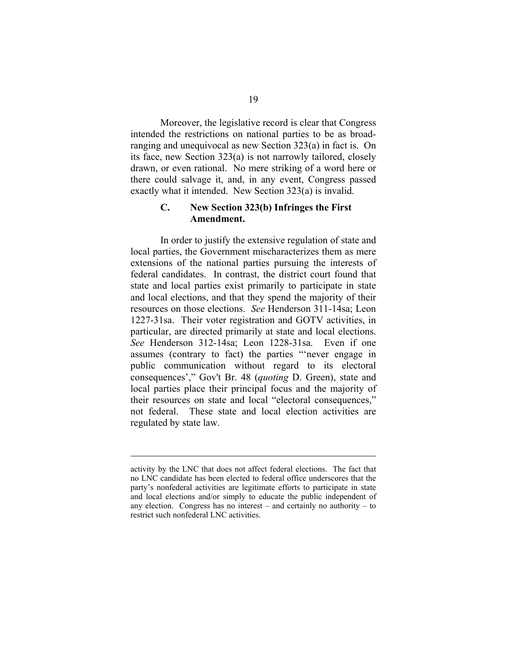Moreover, the legislative record is clear that Congress intended the restrictions on national parties to be as broadranging and unequivocal as new Section 323(a) in fact is. On its face, new Section 323(a) is not narrowly tailored, closely drawn, or even rational. No mere striking of a word here or there could salvage it, and, in any event, Congress passed exactly what it intended. New Section 323(a) is invalid.

#### **C. New Section 323(b) Infringes the First Amendment.**

In order to justify the extensive regulation of state and local parties, the Government mischaracterizes them as mere extensions of the national parties pursuing the interests of federal candidates. In contrast, the district court found that state and local parties exist primarily to participate in state and local elections, and that they spend the majority of their resources on those elections. *See* Henderson 311-14sa; Leon 1227-31sa. Their voter registration and GOTV activities, in particular, are directed primarily at state and local elections. *See* Henderson 312-14sa; Leon 1228-31sa. Even if one assumes (contrary to fact) the parties "'never engage in public communication without regard to its electoral consequences'," Gov't Br. 48 (*quoting* D. Green), state and local parties place their principal focus and the majority of their resources on state and local "electoral consequences," not federal. These state and local election activities are regulated by state law.

activity by the LNC that does not affect federal elections. The fact that no LNC candidate has been elected to federal office underscores that the party's nonfederal activities are legitimate efforts to participate in state and local elections and/or simply to educate the public independent of any election. Congress has no interest – and certainly no authority – to restrict such nonfederal LNC activities.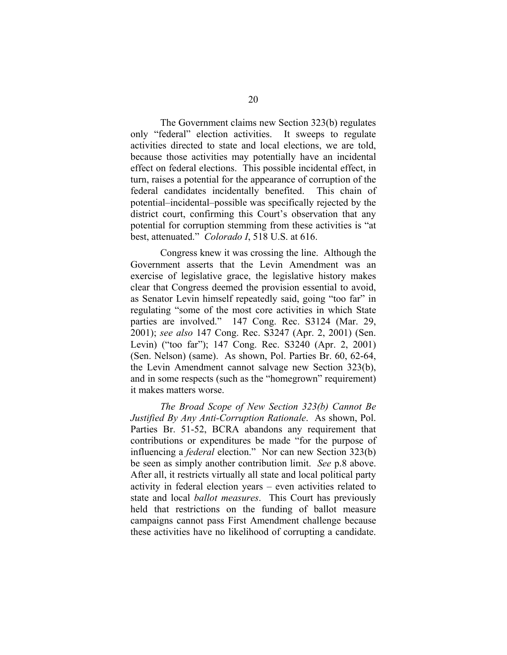The Government claims new Section 323(b) regulates only "federal" election activities. It sweeps to regulate activities directed to state and local elections, we are told, because those activities may potentially have an incidental effect on federal elections. This possible incidental effect, in turn, raises a potential for the appearance of corruption of the federal candidates incidentally benefited. This chain of potential–incidental–possible was specifically rejected by the district court, confirming this Court's observation that any potential for corruption stemming from these activities is "at best, attenuated." *Colorado I*, 518 U.S. at 616.

Congress knew it was crossing the line. Although the Government asserts that the Levin Amendment was an exercise of legislative grace, the legislative history makes clear that Congress deemed the provision essential to avoid, as Senator Levin himself repeatedly said, going "too far" in regulating "some of the most core activities in which State parties are involved." 147 Cong. Rec. S3124 (Mar. 29, 2001); *see also* 147 Cong. Rec. S3247 (Apr. 2, 2001) (Sen. Levin) ("too far"); 147 Cong. Rec. S3240 (Apr. 2, 2001) (Sen. Nelson) (same). As shown, Pol. Parties Br. 60, 62-64, the Levin Amendment cannot salvage new Section 323(b), and in some respects (such as the "homegrown" requirement) it makes matters worse.

*The Broad Scope of New Section 323(b) Cannot Be Justified By Any Anti-Corruption Rationale*. As shown, Pol. Parties Br. 51-52, BCRA abandons any requirement that contributions or expenditures be made "for the purpose of influencing a *federal* election." Nor can new Section 323(b) be seen as simply another contribution limit. *See* p.8 above. After all, it restricts virtually all state and local political party activity in federal election years – even activities related to state and local *ballot measures*. This Court has previously held that restrictions on the funding of ballot measure campaigns cannot pass First Amendment challenge because these activities have no likelihood of corrupting a candidate.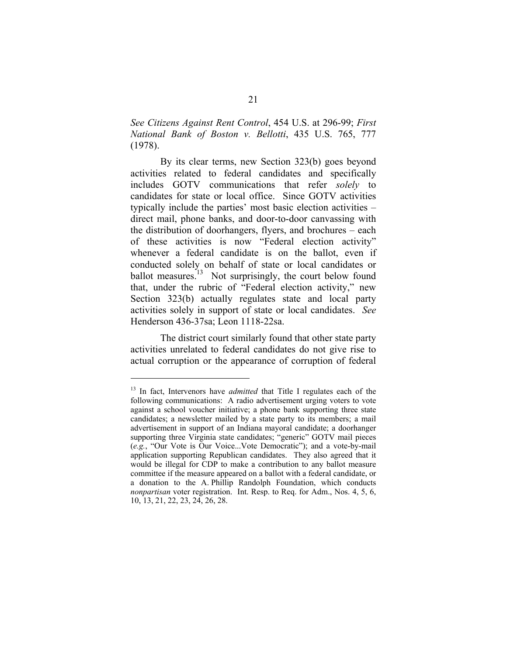*See Citizens Against Rent Control*, 454 U.S. at 296-99; *First National Bank of Boston v. Bellotti*, 435 U.S. 765, 777 (1978).

By its clear terms, new Section 323(b) goes beyond activities related to federal candidates and specifically includes GOTV communications that refer *solely* to candidates for state or local office. Since GOTV activities typically include the parties' most basic election activities – direct mail, phone banks, and door-to-door canvassing with the distribution of doorhangers, flyers, and brochures – each of these activities is now "Federal election activity" whenever a federal candidate is on the ballot, even if conducted solely on behalf of state or local candidates or ballot measures.<sup>13</sup> Not surprisingly, the court below found that, under the rubric of "Federal election activity," new Section 323(b) actually regulates state and local party activities solely in support of state or local candidates. *See*  Henderson 436-37sa; Leon 1118-22sa.

The district court similarly found that other state party activities unrelated to federal candidates do not give rise to actual corruption or the appearance of corruption of federal

<sup>&</sup>lt;sup>13</sup> In fact, Intervenors have *admitted* that Title I regulates each of the following communications: A radio advertisement urging voters to vote against a school voucher initiative; a phone bank supporting three state candidates; a newsletter mailed by a state party to its members; a mail advertisement in support of an Indiana mayoral candidate; a doorhanger supporting three Virginia state candidates; "generic" GOTV mail pieces (*e.g.*, "Our Vote is Our Voice...Vote Democratic"); and a vote-by-mail application supporting Republican candidates. They also agreed that it would be illegal for CDP to make a contribution to any ballot measure committee if the measure appeared on a ballot with a federal candidate, or a donation to the A. Phillip Randolph Foundation, which conducts *nonpartisan* voter registration. Int. Resp. to Req. for Adm., Nos. 4, 5, 6, 10, 13, 21, 22, 23, 24, 26, 28.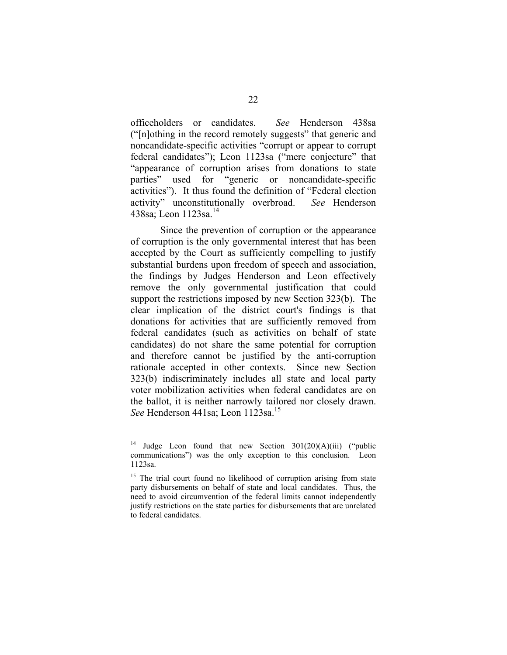officeholders or candidates. *See* Henderson 438sa ("[n]othing in the record remotely suggests" that generic and noncandidate-specific activities "corrupt or appear to corrupt federal candidates"); Leon 1123sa ("mere conjecture" that "appearance of corruption arises from donations to state parties" used for "generic or noncandidate-specific activities"). It thus found the definition of "Federal election activity" unconstitutionally overbroad. *See* Henderson 438sa; Leon 1123sa.<sup>14</sup>

Since the prevention of corruption or the appearance of corruption is the only governmental interest that has been accepted by the Court as sufficiently compelling to justify substantial burdens upon freedom of speech and association, the findings by Judges Henderson and Leon effectively remove the only governmental justification that could support the restrictions imposed by new Section 323(b). The clear implication of the district court's findings is that donations for activities that are sufficiently removed from federal candidates (such as activities on behalf of state candidates) do not share the same potential for corruption and therefore cannot be justified by the anti-corruption rationale accepted in other contexts. Since new Section 323(b) indiscriminately includes all state and local party voter mobilization activities when federal candidates are on the ballot, it is neither narrowly tailored nor closely drawn. *See* Henderson 441sa; Leon 1123sa.<sup>15</sup>

<sup>&</sup>lt;sup>14</sup> Judge Leon found that new Section  $301(20)(A)(iii)$  ("public communications") was the only exception to this conclusion. Leon 1123sa.

<sup>&</sup>lt;sup>15</sup> The trial court found no likelihood of corruption arising from state party disbursements on behalf of state and local candidates. Thus, the need to avoid circumvention of the federal limits cannot independently justify restrictions on the state parties for disbursements that are unrelated to federal candidates.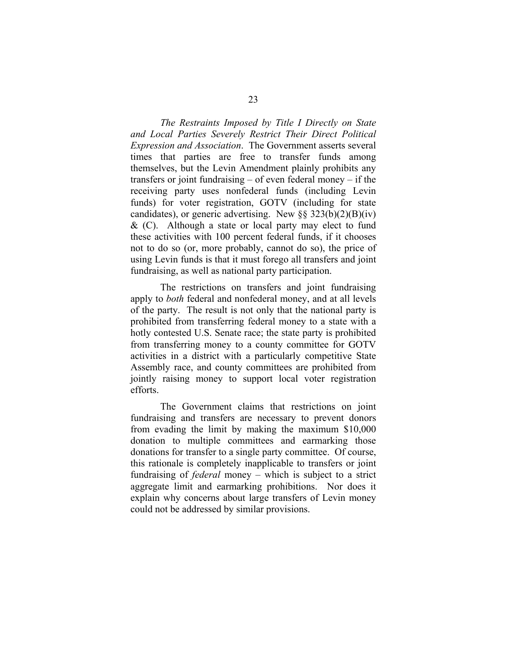*The Restraints Imposed by Title I Directly on State and Local Parties Severely Restrict Their Direct Political Expression and Association*. The Government asserts several times that parties are free to transfer funds among themselves, but the Levin Amendment plainly prohibits any transfers or joint fundraising – of even federal money – if the receiving party uses nonfederal funds (including Levin funds) for voter registration, GOTV (including for state candidates), or generic advertising. New  $\S$ § 323(b)(2)(B)(iv)  $\&$  (C). Although a state or local party may elect to fund these activities with 100 percent federal funds, if it chooses not to do so (or, more probably, cannot do so), the price of using Levin funds is that it must forego all transfers and joint fundraising, as well as national party participation.

The restrictions on transfers and joint fundraising apply to *both* federal and nonfederal money, and at all levels of the party. The result is not only that the national party is prohibited from transferring federal money to a state with a hotly contested U.S. Senate race; the state party is prohibited from transferring money to a county committee for GOTV activities in a district with a particularly competitive State Assembly race, and county committees are prohibited from jointly raising money to support local voter registration efforts.

The Government claims that restrictions on joint fundraising and transfers are necessary to prevent donors from evading the limit by making the maximum \$10,000 donation to multiple committees and earmarking those donations for transfer to a single party committee. Of course, this rationale is completely inapplicable to transfers or joint fundraising of *federal* money – which is subject to a strict aggregate limit and earmarking prohibitions. Nor does it explain why concerns about large transfers of Levin money could not be addressed by similar provisions.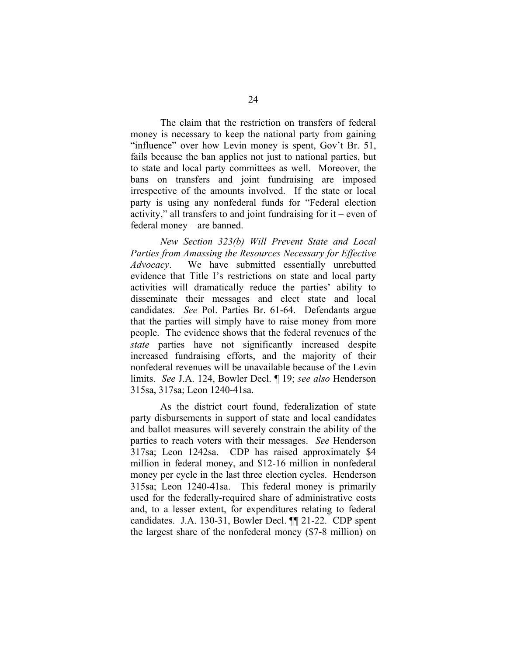The claim that the restriction on transfers of federal money is necessary to keep the national party from gaining "influence" over how Levin money is spent, Gov't Br. 51, fails because the ban applies not just to national parties, but to state and local party committees as well. Moreover, the bans on transfers and joint fundraising are imposed irrespective of the amounts involved. If the state or local party is using any nonfederal funds for "Federal election activity," all transfers to and joint fundraising for  $it$  – even of federal money – are banned.

*New Section 323(b) Will Prevent State and Local Parties from Amassing the Resources Necessary for Effective Advocacy*. We have submitted essentially unrebutted evidence that Title I's restrictions on state and local party activities will dramatically reduce the parties' ability to disseminate their messages and elect state and local candidates. *See* Pol. Parties Br. 61-64. Defendants argue that the parties will simply have to raise money from more people. The evidence shows that the federal revenues of the *state* parties have not significantly increased despite increased fundraising efforts, and the majority of their nonfederal revenues will be unavailable because of the Levin limits. *See* J.A. 124, Bowler Decl. ¶ 19; *see also* Henderson 315sa, 317sa; Leon 1240-41sa.

As the district court found, federalization of state party disbursements in support of state and local candidates and ballot measures will severely constrain the ability of the parties to reach voters with their messages. *See* Henderson 317sa; Leon 1242sa. CDP has raised approximately \$4 million in federal money, and \$12-16 million in nonfederal money per cycle in the last three election cycles. Henderson 315sa; Leon 1240-41sa. This federal money is primarily used for the federally-required share of administrative costs and, to a lesser extent, for expenditures relating to federal candidates. J.A. 130-31, Bowler Decl. ¶¶ 21-22. CDP spent the largest share of the nonfederal money (\$7-8 million) on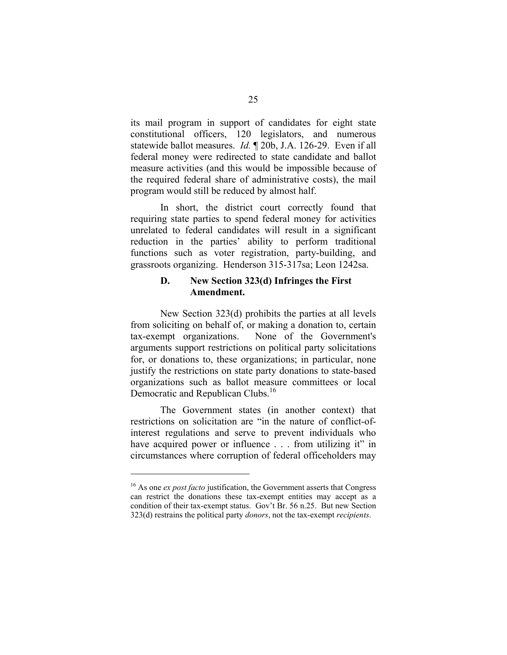its mail program in support of candidates for eight state constitutional officers, 120 legislators, and numerous statewide ballot measures. *Id.* ¶ 20b, J.A. 126-29. Even if all federal money were redirected to state candidate and ballot measure activities (and this would be impossible because of the required federal share of administrative costs), the mail program would still be reduced by almost half.

In short, the district court correctly found that requiring state parties to spend federal money for activities unrelated to federal candidates will result in a significant reduction in the parties' ability to perform traditional functions such as voter registration, party-building, and grassroots organizing. Henderson 315-317sa; Leon 1242sa.

#### **D. New Section 323(d) Infringes the First Amendment.**

New Section 323(d) prohibits the parties at all levels from soliciting on behalf of, or making a donation to, certain tax-exempt organizations. None of the Government's arguments support restrictions on political party solicitations for, or donations to, these organizations; in particular, none justify the restrictions on state party donations to state-based organizations such as ballot measure committees or local Democratic and Republican Clubs.<sup>16</sup>

The Government states (in another context) that restrictions on solicitation are "in the nature of conflict-ofinterest regulations and serve to prevent individuals who have acquired power or influence . . . from utilizing it" in circumstances where corruption of federal officeholders may

<sup>16</sup> As one *ex post facto* justification, the Government asserts that Congress can restrict the donations these tax-exempt entities may accept as a condition of their tax-exempt status. Gov't Br. 56 n.25. But new Section 323(d) restrains the political party *donors*, not the tax-exempt *recipients*.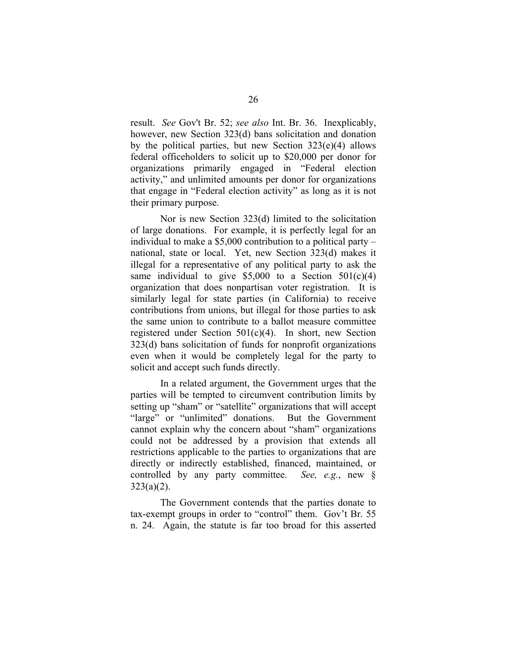result. *See* Gov't Br. 52; *see also* Int. Br. 36. Inexplicably, however, new Section 323(d) bans solicitation and donation by the political parties, but new Section  $323(e)(4)$  allows federal officeholders to solicit up to \$20,000 per donor for organizations primarily engaged in "Federal election activity," and unlimited amounts per donor for organizations that engage in "Federal election activity" as long as it is not their primary purpose.

Nor is new Section 323(d) limited to the solicitation of large donations. For example, it is perfectly legal for an individual to make a \$5,000 contribution to a political party – national, state or local. Yet, new Section 323(d) makes it illegal for a representative of any political party to ask the same individual to give  $$5,000$  to a Section  $501(c)(4)$ organization that does nonpartisan voter registration. It is similarly legal for state parties (in California) to receive contributions from unions, but illegal for those parties to ask the same union to contribute to a ballot measure committee registered under Section 501(c)(4). In short, new Section 323(d) bans solicitation of funds for nonprofit organizations even when it would be completely legal for the party to solicit and accept such funds directly.

In a related argument, the Government urges that the parties will be tempted to circumvent contribution limits by setting up "sham" or "satellite" organizations that will accept "large" or "unlimited" donations. But the Government cannot explain why the concern about "sham" organizations could not be addressed by a provision that extends all restrictions applicable to the parties to organizations that are directly or indirectly established, financed, maintained, or controlled by any party committee. *See, e.g.*, new §  $323(a)(2)$ .

The Government contends that the parties donate to tax-exempt groups in order to "control" them. Gov't Br. 55 n. 24. Again, the statute is far too broad for this asserted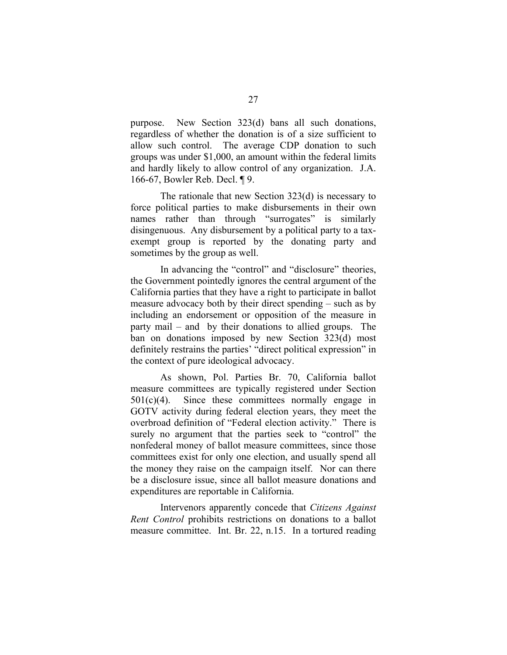purpose. New Section 323(d) bans all such donations, regardless of whether the donation is of a size sufficient to allow such control. The average CDP donation to such groups was under \$1,000, an amount within the federal limits and hardly likely to allow control of any organization. J.A. 166-67, Bowler Reb. Decl. ¶ 9.

The rationale that new Section 323(d) is necessary to force political parties to make disbursements in their own names rather than through "surrogates" is similarly disingenuous. Any disbursement by a political party to a taxexempt group is reported by the donating party and sometimes by the group as well.

In advancing the "control" and "disclosure" theories, the Government pointedly ignores the central argument of the California parties that they have a right to participate in ballot measure advocacy both by their direct spending – such as by including an endorsement or opposition of the measure in party mail – and by their donations to allied groups. The ban on donations imposed by new Section 323(d) most definitely restrains the parties' "direct political expression" in the context of pure ideological advocacy.

As shown, Pol. Parties Br. 70, California ballot measure committees are typically registered under Section  $501(c)(4)$ . Since these committees normally engage in GOTV activity during federal election years, they meet the overbroad definition of "Federal election activity." There is surely no argument that the parties seek to "control" the nonfederal money of ballot measure committees, since those committees exist for only one election, and usually spend all the money they raise on the campaign itself. Nor can there be a disclosure issue, since all ballot measure donations and expenditures are reportable in California.

Intervenors apparently concede that *Citizens Against Rent Control* prohibits restrictions on donations to a ballot measure committee. Int. Br. 22, n.15. In a tortured reading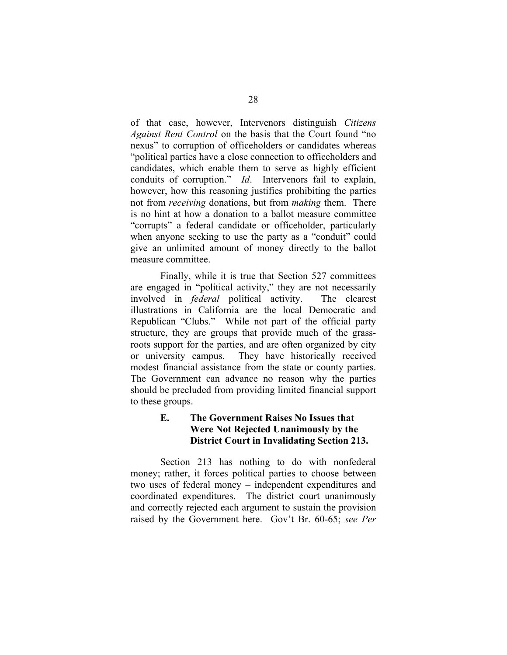of that case, however, Intervenors distinguish *Citizens Against Rent Control* on the basis that the Court found "no nexus" to corruption of officeholders or candidates whereas "political parties have a close connection to officeholders and candidates, which enable them to serve as highly efficient conduits of corruption." *Id*. Intervenors fail to explain, however, how this reasoning justifies prohibiting the parties not from *receiving* donations, but from *making* them. There is no hint at how a donation to a ballot measure committee "corrupts" a federal candidate or officeholder, particularly when anyone seeking to use the party as a "conduit" could give an unlimited amount of money directly to the ballot measure committee.

Finally, while it is true that Section 527 committees are engaged in "political activity," they are not necessarily involved in *federal* political activity. The clearest illustrations in California are the local Democratic and Republican "Clubs." While not part of the official party structure, they are groups that provide much of the grassroots support for the parties, and are often organized by city or university campus. They have historically received modest financial assistance from the state or county parties. The Government can advance no reason why the parties should be precluded from providing limited financial support to these groups.

## **E. The Government Raises No Issues that Were Not Rejected Unanimously by the District Court in Invalidating Section 213.**

Section 213 has nothing to do with nonfederal money; rather, it forces political parties to choose between two uses of federal money – independent expenditures and coordinated expenditures. The district court unanimously and correctly rejected each argument to sustain the provision raised by the Government here. Gov't Br. 60-65; *see Per*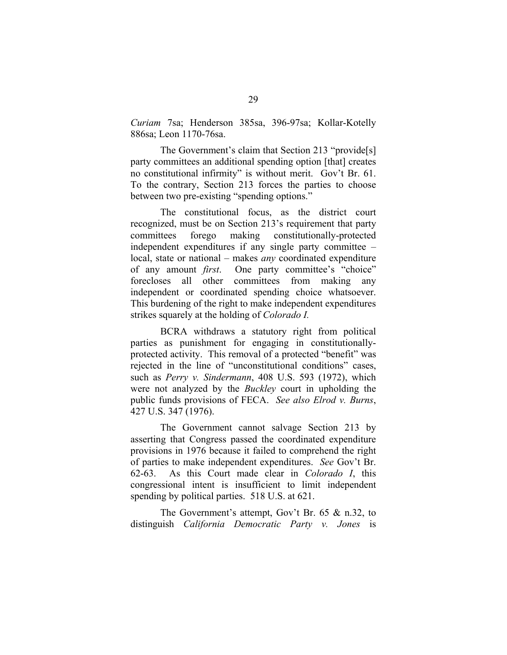*Curiam* 7sa; Henderson 385sa, 396-97sa; Kollar-Kotelly 886sa; Leon 1170-76sa.

The Government's claim that Section 213 "provide<sup>[s]</sup> party committees an additional spending option [that] creates no constitutional infirmity" is without merit. Gov't Br. 61. To the contrary, Section 213 forces the parties to choose between two pre-existing "spending options."

The constitutional focus, as the district court recognized, must be on Section 213's requirement that party committees forego making constitutionally-protected independent expenditures if any single party committee – local, state or national – makes *any* coordinated expenditure of any amount *first*. One party committee's "choice" forecloses all other committees from making any independent or coordinated spending choice whatsoever. This burdening of the right to make independent expenditures strikes squarely at the holding of *Colorado I.* 

BCRA withdraws a statutory right from political parties as punishment for engaging in constitutionallyprotected activity. This removal of a protected "benefit" was rejected in the line of "unconstitutional conditions" cases, such as *Perry v. Sindermann*, 408 U.S. 593 (1972), which were not analyzed by the *Buckley* court in upholding the public funds provisions of FECA. *See also Elrod v. Burns*, 427 U.S. 347 (1976).

The Government cannot salvage Section 213 by asserting that Congress passed the coordinated expenditure provisions in 1976 because it failed to comprehend the right of parties to make independent expenditures. *See* Gov't Br. 62-63. As this Court made clear in *Colorado I*, this congressional intent is insufficient to limit independent spending by political parties. 518 U.S. at 621.

The Government's attempt, Gov't Br. 65 & n.32, to distinguish *California Democratic Party v. Jones* is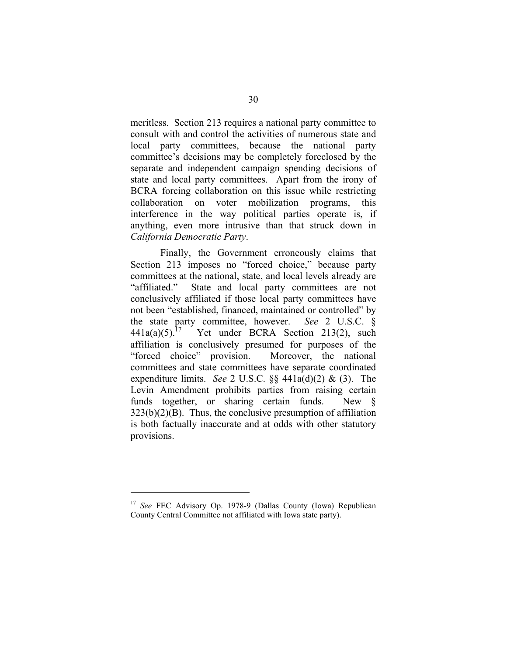meritless. Section 213 requires a national party committee to consult with and control the activities of numerous state and local party committees, because the national party committee's decisions may be completely foreclosed by the separate and independent campaign spending decisions of state and local party committees. Apart from the irony of BCRA forcing collaboration on this issue while restricting collaboration on voter mobilization programs, this interference in the way political parties operate is, if anything, even more intrusive than that struck down in *California Democratic Party*.

Finally, the Government erroneously claims that Section 213 imposes no "forced choice," because party committees at the national, state, and local levels already are "affiliated." State and local party committees are not conclusively affiliated if those local party committees have not been "established, financed, maintained or controlled" by the state party committee, however. *See* 2 U.S.C. § 441a(a)(5).<sup>17</sup> Yet under BCRA Section 213(2), such Yet under BCRA Section 213(2), such affiliation is conclusively presumed for purposes of the "forced choice" provision. Moreover, the national committees and state committees have separate coordinated expenditure limits. *See* 2 U.S.C. §§ 441a(d)(2) & (3). The Levin Amendment prohibits parties from raising certain funds together, or sharing certain funds. New §  $323(b)(2)(B)$ . Thus, the conclusive presumption of affiliation is both factually inaccurate and at odds with other statutory provisions.

<sup>17</sup>*See* FEC Advisory Op. 1978-9 (Dallas County (Iowa) Republican County Central Committee not affiliated with Iowa state party).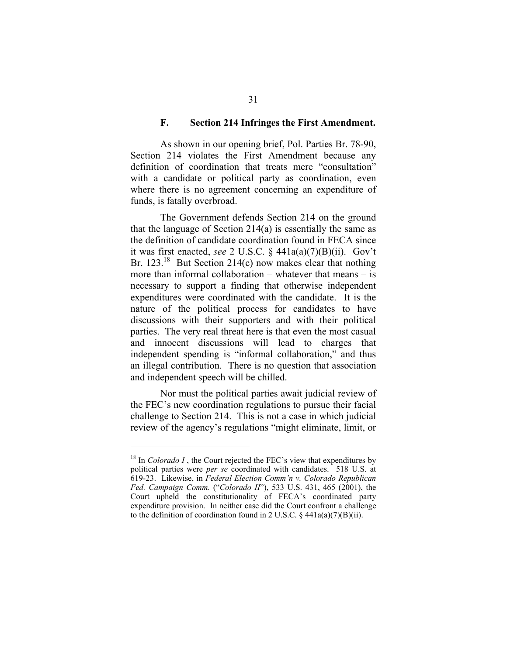#### **F. Section 214 Infringes the First Amendment.**

As shown in our opening brief, Pol. Parties Br. 78-90, Section 214 violates the First Amendment because any definition of coordination that treats mere "consultation" with a candidate or political party as coordination, even where there is no agreement concerning an expenditure of funds, is fatally overbroad.

The Government defends Section 214 on the ground that the language of Section 214(a) is essentially the same as the definition of candidate coordination found in FECA since it was first enacted, *see* 2 U.S.C. § 441a(a)(7)(B)(ii). Gov't Br.  $123.18$  But Section 214(c) now makes clear that nothing more than informal collaboration – whatever that means – is necessary to support a finding that otherwise independent expenditures were coordinated with the candidate. It is the nature of the political process for candidates to have discussions with their supporters and with their political parties. The very real threat here is that even the most casual and innocent discussions will lead to charges that independent spending is "informal collaboration," and thus an illegal contribution. There is no question that association and independent speech will be chilled.

Nor must the political parties await judicial review of the FEC's new coordination regulations to pursue their facial challenge to Section 214. This is not a case in which judicial review of the agency's regulations "might eliminate, limit, or

 $18$  In *Colorado I*, the Court rejected the FEC's view that expenditures by political parties were *per se* coordinated with candidates. 518 U.S. at 619-23. Likewise, in *Federal Election Comm'n v. Colorado Republican Fed. Campaign Comm.* ("*Colorado II*"), 533 U.S. 431, 465 (2001), the Court upheld the constitutionality of FECA's coordinated party expenditure provision. In neither case did the Court confront a challenge to the definition of coordination found in 2 U.S.C.  $\S$  441a(a)(7)(B)(ii).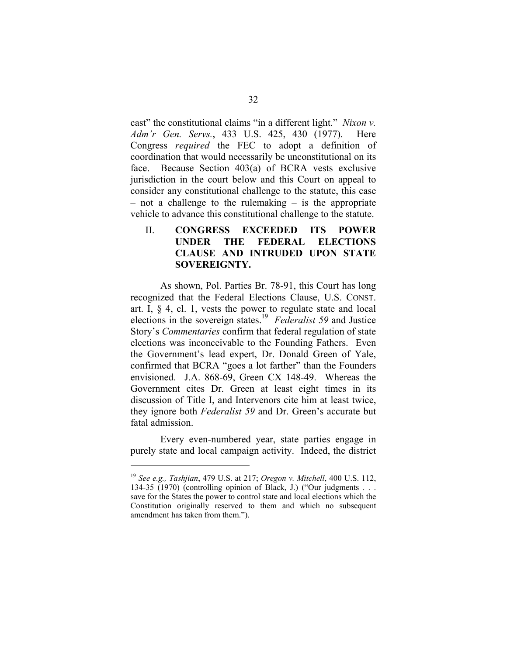cast" the constitutional claims "in a different light." *Nixon v. Adm'r Gen. Servs.*, 433 U.S. 425, 430 (1977). Here Congress *required* the FEC to adopt a definition of coordination that would necessarily be unconstitutional on its face. Because Section 403(a) of BCRA vests exclusive jurisdiction in the court below and this Court on appeal to consider any constitutional challenge to the statute, this case – not a challenge to the rulemaking – is the appropriate vehicle to advance this constitutional challenge to the statute.

### II. **CONGRESS EXCEEDED ITS POWER UNDER THE FEDERAL ELECTIONS CLAUSE AND INTRUDED UPON STATE SOVEREIGNTY.**

As shown, Pol. Parties Br. 78-91, this Court has long recognized that the Federal Elections Clause, U.S. CONST. art. I, § 4, cl. 1, vests the power to regulate state and local elections in the sovereign states.19 *Federalist 59* and Justice Story's *Commentaries* confirm that federal regulation of state elections was inconceivable to the Founding Fathers. Even the Government's lead expert, Dr. Donald Green of Yale, confirmed that BCRA "goes a lot farther" than the Founders envisioned. J.A. 868-69, Green CX 148-49. Whereas the Government cites Dr. Green at least eight times in its discussion of Title I, and Intervenors cite him at least twice, they ignore both *Federalist 59* and Dr. Green's accurate but fatal admission.

Every even-numbered year, state parties engage in purely state and local campaign activity. Indeed, the district

<sup>19</sup>*See e.g., Tashjian*, 479 U.S. at 217; *Oregon v. Mitchell*, 400 U.S. 112, 134-35 (1970) (controlling opinion of Black, J.) ("Our judgments . . . save for the States the power to control state and local elections which the Constitution originally reserved to them and which no subsequent amendment has taken from them.").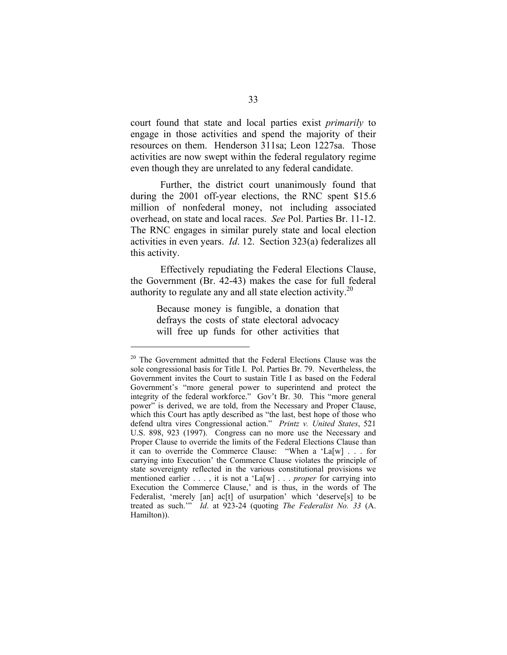court found that state and local parties exist *primarily* to engage in those activities and spend the majority of their resources on them. Henderson 311sa; Leon 1227sa. Those activities are now swept within the federal regulatory regime even though they are unrelated to any federal candidate.

Further, the district court unanimously found that during the 2001 off-year elections, the RNC spent \$15.6 million of nonfederal money, not including associated overhead, on state and local races. *See* Pol. Parties Br. 11-12. The RNC engages in similar purely state and local election activities in even years. *Id*. 12. Section 323(a) federalizes all this activity.

Effectively repudiating the Federal Elections Clause, the Government (Br. 42-43) makes the case for full federal authority to regulate any and all state election activity.<sup>20</sup>

> Because money is fungible, a donation that defrays the costs of state electoral advocacy will free up funds for other activities that

<sup>&</sup>lt;sup>20</sup> The Government admitted that the Federal Elections Clause was the sole congressional basis for Title I. Pol. Parties Br. 79. Nevertheless, the Government invites the Court to sustain Title I as based on the Federal Government's "more general power to superintend and protect the integrity of the federal workforce." Gov't Br. 30. This "more general power" is derived, we are told, from the Necessary and Proper Clause, which this Court has aptly described as "the last, best hope of those who defend ultra vires Congressional action." *Printz v. United States*, 521 U.S. 898, 923 (1997). Congress can no more use the Necessary and Proper Clause to override the limits of the Federal Elections Clause than it can to override the Commerce Clause: "When a 'La[w] . . . for carrying into Execution' the Commerce Clause violates the principle of state sovereignty reflected in the various constitutional provisions we mentioned earlier . . . , it is not a 'La[w] . . . *proper* for carrying into Execution the Commerce Clause,' and is thus, in the words of The Federalist, 'merely [an] ac[t] of usurpation' which 'deserve[s] to be treated as such.'" *Id*. at 923-24 (quoting *The Federalist No. 33* (A. Hamilton)).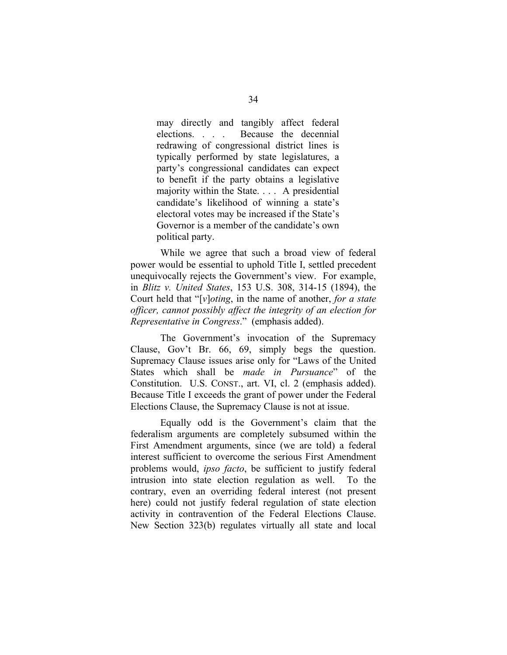may directly and tangibly affect federal elections. . . . Because the decennial redrawing of congressional district lines is typically performed by state legislatures, a party's congressional candidates can expect to benefit if the party obtains a legislative majority within the State. . . . A presidential candidate's likelihood of winning a state's electoral votes may be increased if the State's Governor is a member of the candidate's own political party.

While we agree that such a broad view of federal power would be essential to uphold Title I, settled precedent unequivocally rejects the Government's view. For example, in *Blitz v. United States*, 153 U.S. 308, 314-15 (1894), the Court held that "[*v*]*oting*, in the name of another, *for a state officer, cannot possibly affect the integrity of an election for Representative in Congress*." (emphasis added).

The Government's invocation of the Supremacy Clause, Gov't Br. 66, 69, simply begs the question. Supremacy Clause issues arise only for "Laws of the United States which shall be *made in Pursuance*" of the Constitution. U.S. CONST., art. VI, cl. 2 (emphasis added). Because Title I exceeds the grant of power under the Federal Elections Clause, the Supremacy Clause is not at issue.

Equally odd is the Government's claim that the federalism arguments are completely subsumed within the First Amendment arguments, since (we are told) a federal interest sufficient to overcome the serious First Amendment problems would, *ipso facto*, be sufficient to justify federal intrusion into state election regulation as well. To the contrary, even an overriding federal interest (not present here) could not justify federal regulation of state election activity in contravention of the Federal Elections Clause. New Section 323(b) regulates virtually all state and local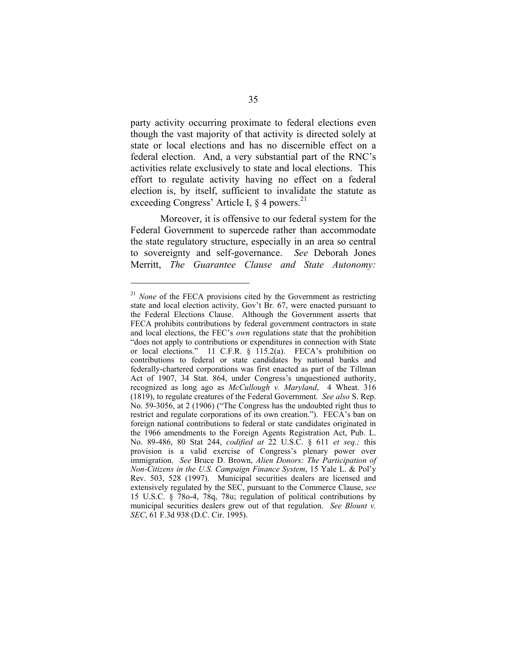party activity occurring proximate to federal elections even though the vast majority of that activity is directed solely at state or local elections and has no discernible effect on a federal election. And, a very substantial part of the RNC's activities relate exclusively to state and local elections. This effort to regulate activity having no effect on a federal election is, by itself, sufficient to invalidate the statute as exceeding Congress' Article I,  $\S$  4 powers.<sup>21</sup>

Moreover, it is offensive to our federal system for the Federal Government to supercede rather than accommodate the state regulatory structure, especially in an area so central to sovereignty and self-governance. *See* Deborah Jones Merritt, *The Guarantee Clause and State Autonomy:* 

<sup>&</sup>lt;sup>21</sup> None of the FECA provisions cited by the Government as restricting state and local election activity, Gov't Br. 67, were enacted pursuant to the Federal Elections Clause. Although the Government asserts that FECA prohibits contributions by federal government contractors in state and local elections, the FEC's *own* regulations state that the prohibition "does not apply to contributions or expenditures in connection with State or local elections." 11 C.F.R. § 115.2(a). FECA's prohibition on contributions to federal or state candidates by national banks and federally-chartered corporations was first enacted as part of the Tillman Act of 1907, 34 Stat. 864, under Congress's unquestioned authority, recognized as long ago as *McCullough v. Maryland*, 4 Wheat. 316 (1819), to regulate creatures of the Federal Government. *See also* S. Rep. No. 59-3056, at 2 (1906) ("The Congress has the undoubted right thus to restrict and regulate corporations of its own creation."). FECA's ban on foreign national contributions to federal or state candidates originated in the 1966 amendments to the Foreign Agents Registration Act, Pub. L. No. 89-486, 80 Stat 244, *codified at* 22 U.S.C. § 611 *et seq.;* this provision is a valid exercise of Congress's plenary power over immigration. *See* Bruce D. Brown, *Alien Donors: The Participation of Non-Citizens in the U.S. Campaign Finance System*, 15 Yale L. & Pol'y Rev. 503, 528 (1997). Municipal securities dealers are licensed and extensively regulated by the SEC, pursuant to the Commerce Clause, *see*  15 U.S.C. § 78o-4, 78q, 78u; regulation of political contributions by municipal securities dealers grew out of that regulation. *See Blount v. SEC*, 61 F.3d 938 (D.C. Cir. 1995).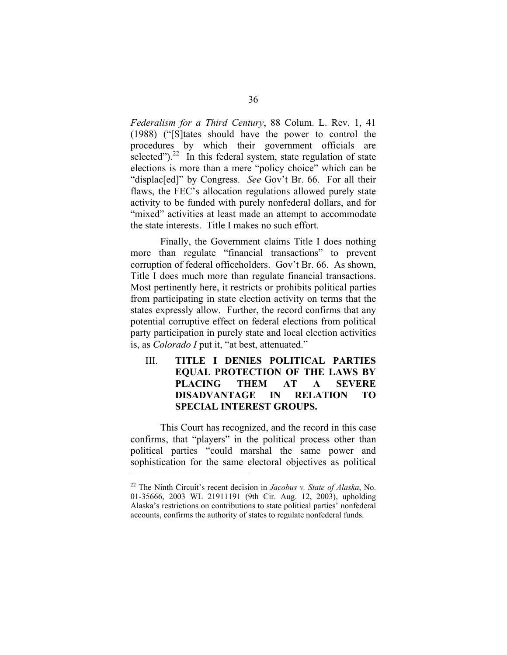*Federalism for a Third Century*, 88 Colum. L. Rev. 1, 41 (1988) ("[S]tates should have the power to control the procedures by which their government officials are selected"). $^{22}$  In this federal system, state regulation of state elections is more than a mere "policy choice" which can be "displac<sup>[ed]"</sup> by Congress. *See* Gov't Br. 66. For all their flaws, the FEC's allocation regulations allowed purely state activity to be funded with purely nonfederal dollars, and for "mixed" activities at least made an attempt to accommodate the state interests. Title I makes no such effort.

Finally, the Government claims Title I does nothing more than regulate "financial transactions" to prevent corruption of federal officeholders. Gov't Br. 66. As shown, Title I does much more than regulate financial transactions. Most pertinently here, it restricts or prohibits political parties from participating in state election activity on terms that the states expressly allow. Further, the record confirms that any potential corruptive effect on federal elections from political party participation in purely state and local election activities is, as *Colorado I* put it, "at best, attenuated."

## III. **TITLE I DENIES POLITICAL PARTIES EQUAL PROTECTION OF THE LAWS BY PLACING THEM AT A SEVERE DISADVANTAGE IN RELATION TO SPECIAL INTEREST GROUPS.**

This Court has recognized, and the record in this case confirms, that "players" in the political process other than political parties "could marshal the same power and sophistication for the same electoral objectives as political

<sup>22</sup> The Ninth Circuit's recent decision in *Jacobus v. State of Alaska*, No. 01-35666, 2003 WL 21911191 (9th Cir. Aug. 12, 2003), upholding Alaska's restrictions on contributions to state political parties' nonfederal accounts, confirms the authority of states to regulate nonfederal funds.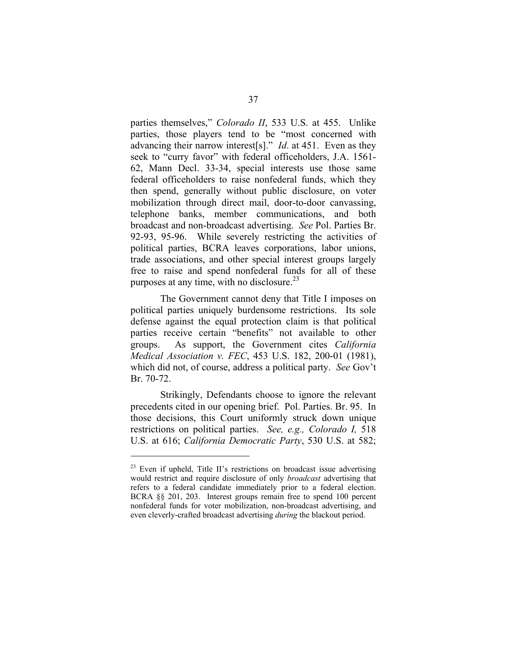parties themselves," *Colorado II*, 533 U.S. at 455. Unlike parties, those players tend to be "most concerned with advancing their narrow interest[s]." *Id*. at 451. Even as they seek to "curry favor" with federal officeholders, J.A. 1561- 62, Mann Decl. 33-34, special interests use those same federal officeholders to raise nonfederal funds, which they then spend, generally without public disclosure, on voter mobilization through direct mail, door-to-door canvassing, telephone banks, member communications, and both broadcast and non-broadcast advertising. *See* Pol. Parties Br. 92-93, 95-96. While severely restricting the activities of political parties, BCRA leaves corporations, labor unions, trade associations, and other special interest groups largely free to raise and spend nonfederal funds for all of these purposes at any time, with no disclosure.<sup>23</sup>

The Government cannot deny that Title I imposes on political parties uniquely burdensome restrictions. Its sole defense against the equal protection claim is that political parties receive certain "benefits" not available to other groups. As support, the Government cites *California Medical Association v. FEC*, 453 U.S. 182, 200-01 (1981), which did not, of course, address a political party. *See* Gov't Br. 70-72.

Strikingly, Defendants choose to ignore the relevant precedents cited in our opening brief. Pol. Parties. Br. 95. In those decisions, this Court uniformly struck down unique restrictions on political parties. *See, e.g., Colorado I,* 518 U.S. at 616; *California Democratic Party*, 530 U.S. at 582;

 $23$  Even if upheld, Title II's restrictions on broadcast issue advertising would restrict and require disclosure of only *broadcast* advertising that refers to a federal candidate immediately prior to a federal election. BCRA §§ 201, 203. Interest groups remain free to spend 100 percent nonfederal funds for voter mobilization, non-broadcast advertising, and even cleverly-crafted broadcast advertising *during* the blackout period.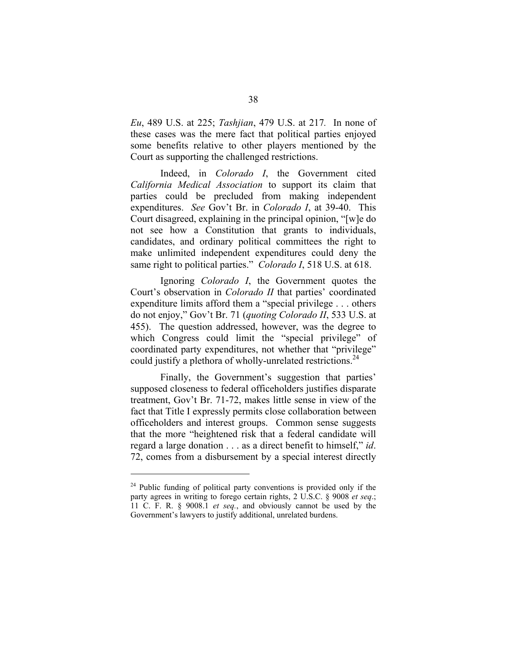*Eu*, 489 U.S. at 225; *Tashjian*, 479 U.S. at 217*.* In none of these cases was the mere fact that political parties enjoyed some benefits relative to other players mentioned by the Court as supporting the challenged restrictions.

Indeed, in *Colorado I*, the Government cited *California Medical Association* to support its claim that parties could be precluded from making independent expenditures. *See* Gov't Br. in *Colorado I*, at 39-40. This Court disagreed, explaining in the principal opinion, "[w]e do not see how a Constitution that grants to individuals, candidates, and ordinary political committees the right to make unlimited independent expenditures could deny the same right to political parties." *Colorado I*, 518 U.S. at 618.

Ignoring *Colorado I*, the Government quotes the Court's observation in *Colorado II* that parties' coordinated expenditure limits afford them a "special privilege . . . others do not enjoy," Gov't Br. 71 (*quoting Colorado II*, 533 U.S. at 455). The question addressed, however, was the degree to which Congress could limit the "special privilege" of coordinated party expenditures, not whether that "privilege" could justify a plethora of wholly-unrelated restrictions.<sup>24</sup>

Finally, the Government's suggestion that parties' supposed closeness to federal officeholders justifies disparate treatment, Gov't Br. 71-72, makes little sense in view of the fact that Title I expressly permits close collaboration between officeholders and interest groups. Common sense suggests that the more "heightened risk that a federal candidate will regard a large donation . . . as a direct benefit to himself," *id*. 72, comes from a disbursement by a special interest directly

 $24$  Public funding of political party conventions is provided only if the party agrees in writing to forego certain rights, 2 U.S.C. § 9008 *et seq*.; 11 C. F. R. § 9008.1 *et seq.*, and obviously cannot be used by the Government's lawyers to justify additional, unrelated burdens.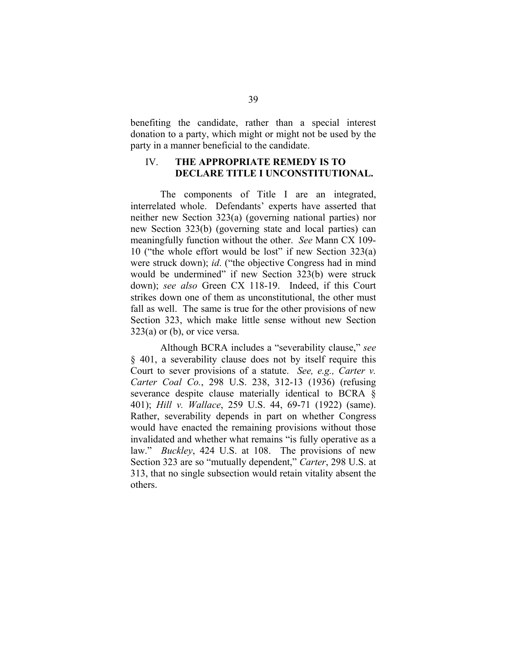benefiting the candidate, rather than a special interest donation to a party, which might or might not be used by the party in a manner beneficial to the candidate.

### IV. **THE APPROPRIATE REMEDY IS TO DECLARE TITLE I UNCONSTITUTIONAL.**

The components of Title I are an integrated, interrelated whole. Defendants' experts have asserted that neither new Section 323(a) (governing national parties) nor new Section 323(b) (governing state and local parties) can meaningfully function without the other. *See* Mann CX 109- 10 ("the whole effort would be lost" if new Section 323(a) were struck down); *id*. ("the objective Congress had in mind would be undermined" if new Section 323(b) were struck down); *see also* Green CX 118-19. Indeed, if this Court strikes down one of them as unconstitutional, the other must fall as well. The same is true for the other provisions of new Section 323, which make little sense without new Section  $323(a)$  or (b), or vice versa.

Although BCRA includes a "severability clause," *see*  § 401, a severability clause does not by itself require this Court to sever provisions of a statute. *See, e.g., Carter v. Carter Coal Co.*, 298 U.S. 238, 312-13 (1936) (refusing severance despite clause materially identical to BCRA § 401); *Hill v. Wallace*, 259 U.S. 44, 69-71 (1922) (same). Rather, severability depends in part on whether Congress would have enacted the remaining provisions without those invalidated and whether what remains "is fully operative as a law." *Buckley*, 424 U.S. at 108. The provisions of new Section 323 are so "mutually dependent," *Carter*, 298 U.S. at 313, that no single subsection would retain vitality absent the others.